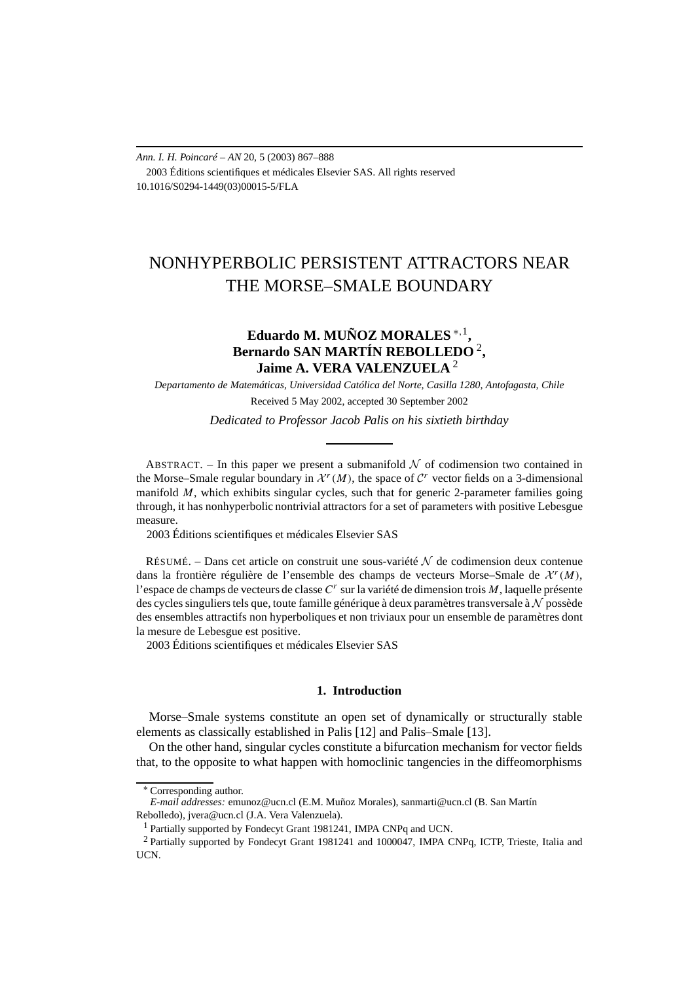*Ann. I. H. Poincaré – AN* 20, 5 (2003) 867–888 2003 Éditions scientifiques et médicales Elsevier SAS. All rights reserved 10.1016/S0294-1449(03)00015-5/FLA

# NONHYPERBOLIC PERSISTENT ATTRACTORS NEAR THE MORSE–SMALE BOUNDARY

## **Eduardo M. MUÑOZ MORALES** <sup>∗</sup>*,*1**, Bernardo SAN MARTÍN REBOLLEDO** <sup>2</sup>**, Jaime A. VERA VALENZUELA** <sup>2</sup>

*Departamento de Matemáticas, Universidad Católica del Norte, Casilla 1280, Antofagasta, Chile* Received 5 May 2002, accepted 30 September 2002

*Dedicated to Professor Jacob Palis on his sixtieth birthday*

ABSTRACT. – In this paper we present a submanifold  $N$  of codimension two contained in the Morse–Smale regular boundary in  $\mathcal{X}^r(M)$ , the space of  $\mathcal{C}^r$  vector fields on a 3-dimensional manifold *M*, which exhibits singular cycles, such that for generic 2-parameter families going through, it has nonhyperbolic nontrivial attractors for a set of parameters with positive Lebesgue measure.

2003 Éditions scientifiques et médicales Elsevier SAS

RÉSUMÉ. – Dans cet article on construit une sous-variété  $N$  de codimension deux contenue dans la frontière régulière de l'ensemble des champs de vecteurs Morse–Smale de  $\mathcal{X}^r(M)$ , l'espace de champs de vecteurs de classe *C<sup>r</sup>* sur la variété de dimension trois *M*, laquelle présente des cycles singuliers tels que, toute famille générique à deux paramètres transversale à  $\mathcal N$  possède des ensembles attractifs non hyperboliques et non triviaux pour un ensemble de paramètres dont la mesure de Lebesgue est positive.

2003 Éditions scientifiques et médicales Elsevier SAS

### **1. Introduction**

Morse–Smale systems constitute an open set of dynamically or structurally stable elements as classically established in Palis [12] and Palis–Smale [13].

On the other hand, singular cycles constitute a bifurcation mechanism for vector fields that, to the opposite to what happen with homoclinic tangencies in the diffeomorphisms

<sup>∗</sup> Corresponding author.

*E-mail addresses:* emunoz@ucn.cl (E.M. Muñoz Morales), sanmarti@ucn.cl (B. San Martín Rebolledo), jvera@ucn.cl (J.A. Vera Valenzuela).

<sup>1</sup> Partially supported by Fondecyt Grant 1981241, IMPA CNPq and UCN.

<sup>2</sup> Partially supported by Fondecyt Grant 1981241 and 1000047, IMPA CNPq, ICTP, Trieste, Italia and UCN.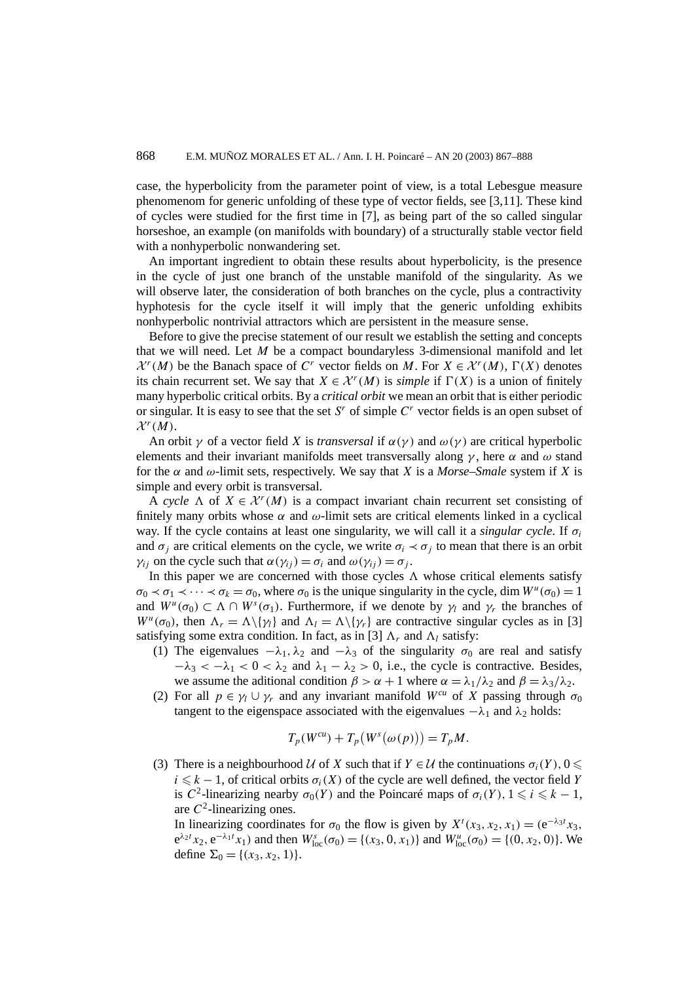case, the hyperbolicity from the parameter point of view, is a total Lebesgue measure phenomenom for generic unfolding of these type of vector fields, see [3,11]. These kind of cycles were studied for the first time in [7], as being part of the so called singular horseshoe, an example (on manifolds with boundary) of a structurally stable vector field with a nonhyperbolic nonwandering set.

An important ingredient to obtain these results about hyperbolicity, is the presence in the cycle of just one branch of the unstable manifold of the singularity. As we will observe later, the consideration of both branches on the cycle, plus a contractivity hyphotesis for the cycle itself it will imply that the generic unfolding exhibits nonhyperbolic nontrivial attractors which are persistent in the measure sense.

Before to give the precise statement of our result we establish the setting and concepts that we will need. Let *M* be a compact boundaryless 3-dimensional manifold and let  $\mathcal{X}^r(M)$  be the Banach space of *C<sup>r</sup>* vector fields on *M*. For  $X \in \mathcal{X}^r(M)$ ,  $\Gamma(X)$  denotes its chain recurrent set. We say that  $X \in \mathcal{X}^r(M)$  is *simple* if  $\Gamma(X)$  is a union of finitely many hyperbolic critical orbits. By a *critical orbit* we mean an orbit that is either periodic or singular. It is easy to see that the set *S<sup>r</sup>* of simple *C<sup>r</sup>* vector fields is an open subset of  $\mathcal{X}^r(M)$ .

An orbit  $\gamma$  of a vector field *X* is *transversal* if  $\alpha(\gamma)$  and  $\omega(\gamma)$  are critical hyperbolic elements and their invariant manifolds meet transversally along *γ* , here *α* and *ω* stand for the  $\alpha$  and  $\omega$ -limit sets, respectively. We say that *X* is a *Morse–Smale* system if *X* is simple and every orbit is transversal.

A *cycle*  $\Lambda$  of  $X \in \mathcal{X}^r(M)$  is a compact invariant chain recurrent set consisting of finitely many orbits whose  $\alpha$  and  $\omega$ -limit sets are critical elements linked in a cyclical way. If the cycle contains at least one singularity, we will call it a *singular cycle*. If *σi* and  $\sigma_i$  are critical elements on the cycle, we write  $\sigma_i \prec \sigma_j$  to mean that there is an orbit *γ<sub>ij</sub>* on the cycle such that  $α(y_{ij}) = σ_i$  and  $ω(y_{ij}) = σ_j$ .

In this paper we are concerned with those cycles  $\Lambda$  whose critical elements satisfy  $\sigma_0 \prec \sigma_1 \prec \cdots \prec \sigma_k = \sigma_0$ , where  $\sigma_0$  is the unique singularity in the cycle, dim  $W^u(\sigma_0) = 1$ and  $W^u(\sigma_0) \subset \Lambda \cap W^s(\sigma_1)$ . Furthermore, if we denote by  $\gamma_l$  and  $\gamma_r$  the branches of *W<sup>u</sup>*( $\sigma$ <sub>0</sub>), then  $\Lambda_r = \Lambda \setminus {\gamma_l}$  and  $\Lambda_l = \Lambda \setminus {\gamma_r}$  are contractive singular cycles as in [3] satisfying some extra condition. In fact, as in [3]  $\Lambda_r$  and  $\Lambda_l$  satisfy:

- (1) The eigenvalues  $-\lambda_1$ ,  $\lambda_2$  and  $-\lambda_3$  of the singularity  $\sigma_0$  are real and satisfy  $-\lambda_3 < -\lambda_1 < 0 < \lambda_2$  and  $\lambda_1 - \lambda_2 > 0$ , i.e., the cycle is contractive. Besides, we assume the aditional condition  $\beta > \alpha + 1$  where  $\alpha = \lambda_1/\lambda_2$  and  $\beta = \lambda_3/\lambda_2$ .
- (2) For all  $p \in \gamma_1 \cup \gamma_r$  and any invariant manifold  $W^{cu}$  of X passing through  $\sigma_0$ tangent to the eigenspace associated with the eigenvalues  $-\lambda_1$  and  $\lambda_2$  holds:

$$
T_p(W^{cu}) + T_p(W^s(\omega(p))) = T_pM.
$$

(3) There is a neighbourhood U of X such that if  $Y \in U$  the continuations  $\sigma_i(Y)$ ,  $0 \leq$  $i \leq k-1$ , of critical orbits  $\sigma_i(X)$  of the cycle are well defined, the vector field *Y* is *C*<sup>2</sup>-linearizing nearby  $\sigma_0(Y)$  and the Poincaré maps of  $\sigma_i(Y)$ ,  $1 \le i \le k - 1$ , are  $C^2$ -linearizing ones.

In linearizing coordinates for  $\sigma_0$  the flow is given by  $X^t(x_3, x_2, x_1) = (e^{-\lambda_3 t}x_3,$  $e^{\lambda_2 t} x_2, e^{-\lambda_1 t} x_1$  and then  $W_{loc}^s(\sigma_0) = \{(x_3, 0, x_1)\}\$ and  $W_{loc}^u(\sigma_0) = \{(0, x_2, 0)\}\.$  We define  $\Sigma_0 = \{(x_3, x_2, 1)\}.$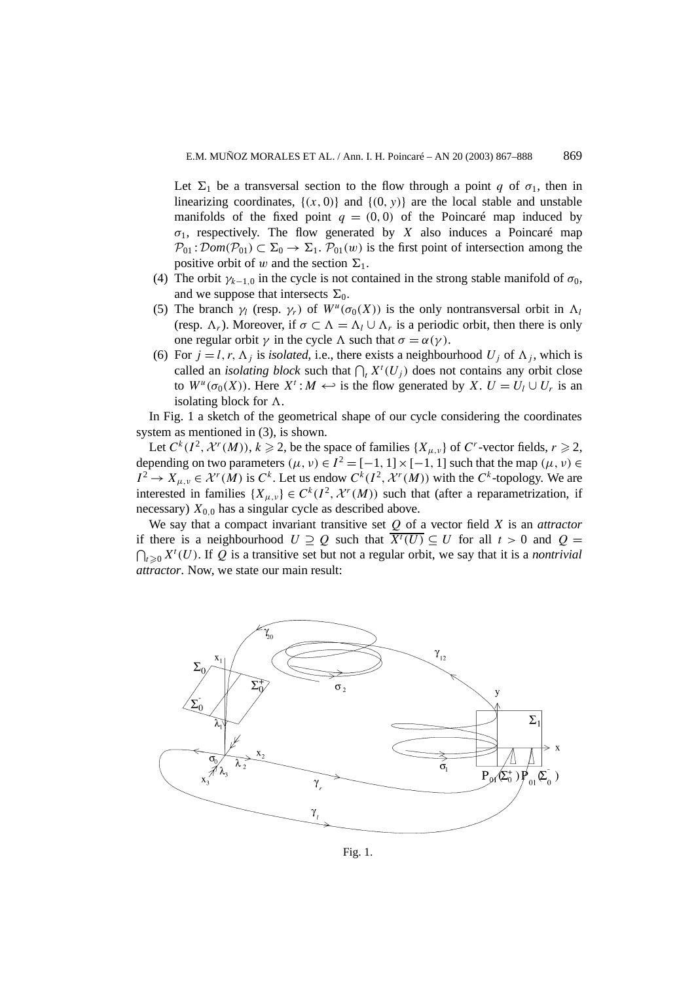Let  $\Sigma_1$  be a transversal section to the flow through a point *q* of  $\sigma_1$ , then in linearizing coordinates,  $\{(x, 0)\}\$  and  $\{(0, y)\}\$  are the local stable and unstable manifolds of the fixed point  $q = (0, 0)$  of the Poincaré map induced by  $\sigma_1$ , respectively. The flow generated by *X* also induces a Poincaré map  $P_{01}$ :  $Dom(P_{01}) \subset \Sigma_0 \rightarrow \Sigma_1$ .  $P_{01}(w)$  is the first point of intersection among the positive orbit of *w* and the section  $\Sigma_1$ .

- (4) The orbit  $\gamma_{k-1,0}$  in the cycle is not contained in the strong stable manifold of  $\sigma_0$ , and we suppose that intersects  $\Sigma_0$ .
- (5) The branch  $\gamma_l$  (resp.  $\gamma_r$ ) of  $W^u(\sigma_0(X))$  is the only nontransversal orbit in  $\Lambda_l$ (resp.  $\Lambda_r$ ). Moreover, if  $\sigma \subset \Lambda = \Lambda_l \cup \Lambda_r$  is a periodic orbit, then there is only one regular orbit  $\gamma$  in the cycle  $\Lambda$  such that  $\sigma = \alpha(\gamma)$ .
- (6) For  $j = l, r, \Lambda_j$  is *isolated*, i.e., there exists a neighbourhood  $U_j$  of  $\Lambda_j$ , which is called an *isolating block* such that  $\bigcap_t X^t(U_j)$  does not contains any orbit close to  $W^{\mu}(\sigma_0(X))$ . Here  $X^t: M \hookleftarrow$  is the flow generated by *X*.  $U = U_l \cup U_r$  is an isolating block for .

In Fig. 1 a sketch of the geometrical shape of our cycle considering the coordinates system as mentioned in (3), is shown.

Let  $C^k(I^2, \mathcal{X}^r(M))$ ,  $k \ge 2$ , be the space of families  $\{X_{\mu,\nu}\}\$  of  $C^r$ -vector fields,  $r \ge 2$ , depending on two parameters  $(\mu, \nu) \in I^2 = [-1, 1] \times [-1, 1]$  such that the map  $(\mu, \nu) \in$  $I^2 \to X_{\mu,\nu} \in \mathcal{X}^r(M)$  is  $C^k$ . Let us endow  $C^k(I^2, \mathcal{X}^r(M))$  with the  $C^k$ -topology. We are interested in families  $\{X_{\mu,\nu}\}\in C^k(I^2,\mathcal{X}^r(M))$  such that (after a reparametrization, if necessary)  $X_{0,0}$  has a singular cycle as described above.

We say that a compact invariant transitive set *Q* of a vector field *X* is an *attractor* if there is a neighbourhood  $U \supseteq Q$  such that  $\overline{X'(U)} \subseteq U$  for all  $t > 0$  and  $Q =$  $\bigcap_{t \geq 0} X^t(U)$ . If *Q* is a transitive set but not a regular orbit, we say that it is a *nontrivial attractor*. Now, we state our main result:

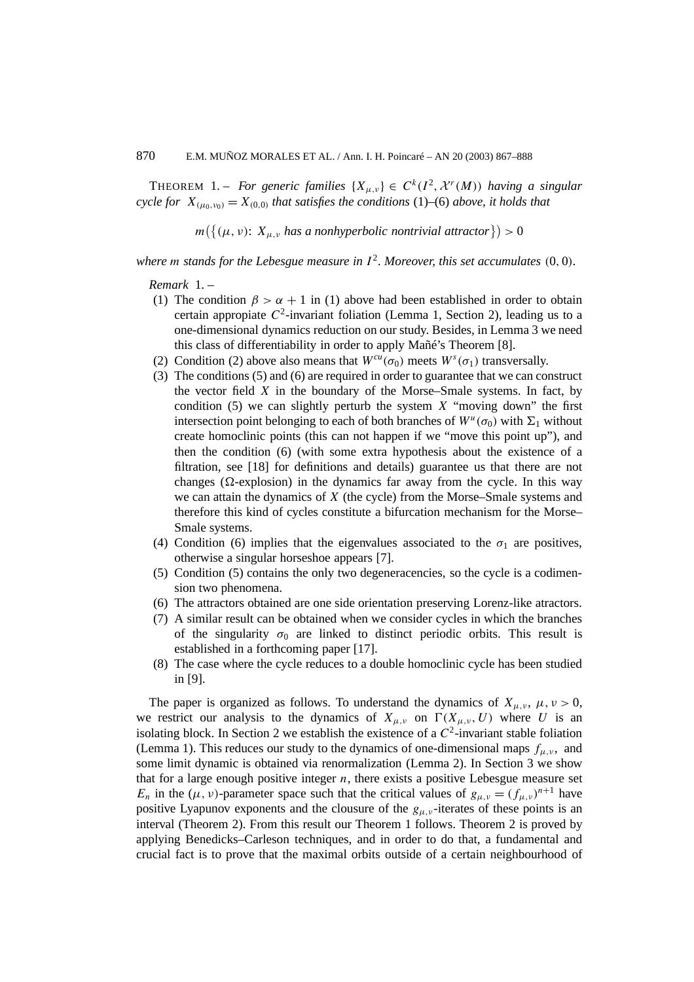THEOREM 1. – *For generic families*  $\{X_{\mu,\nu}\}\in C^k(I^2,\mathcal{X}^r(M))$  *having a singular cycle for*  $X_{(\mu_0,\nu_0)} = X_{(0,0)}$  *that satisfies the conditions* (1)–(6) *above, it holds that* 

 $m(\{(\mu, \nu): X_{\mu, \nu} \text{ has a nonhyperbolic nontrivial attractor}\}) > 0$ 

where *m stands for the Lebesgue measure in*  $I^2$ *. Moreover, this set accumulates*  $(0, 0)$ *.* 

*Remark* 1. –

- (1) The condition  $\beta > \alpha + 1$  in (1) above had been established in order to obtain certain appropiate  $C^2$ -invariant foliation (Lemma 1, Section 2), leading us to a one-dimensional dynamics reduction on our study. Besides, in Lemma 3 we need this class of differentiability in order to apply Mañé's Theorem [8].
- (2) Condition (2) above also means that  $W^{cu}(\sigma_0)$  meets  $W^s(\sigma_1)$  transversally.
- (3) The conditions (5) and (6) are required in order to guarantee that we can construct the vector field *X* in the boundary of the Morse–Smale systems. In fact, by condition (5) we can slightly perturb the system *X* "moving down" the first intersection point belonging to each of both branches of  $W^u(\sigma_0)$  with  $\Sigma_1$  without create homoclinic points (this can not happen if we "move this point up"), and then the condition (6) (with some extra hypothesis about the existence of a filtration, see [18] for definitions and details) guarantee us that there are not changes ( $\Omega$ -explosion) in the dynamics far away from the cycle. In this way we can attain the dynamics of *X* (the cycle) from the Morse–Smale systems and therefore this kind of cycles constitute a bifurcation mechanism for the Morse– Smale systems.
- (4) Condition (6) implies that the eigenvalues associated to the  $\sigma_1$  are positives, otherwise a singular horseshoe appears [7].
- (5) Condition (5) contains the only two degeneracencies, so the cycle is a codimension two phenomena.
- (6) The attractors obtained are one side orientation preserving Lorenz-like atractors.
- (7) A similar result can be obtained when we consider cycles in which the branches of the singularity  $\sigma_0$  are linked to distinct periodic orbits. This result is established in a forthcoming paper [17].
- (8) The case where the cycle reduces to a double homoclinic cycle has been studied in [9].

The paper is organized as follows. To understand the dynamics of  $X_{\mu,\nu}$ ,  $\mu, \nu > 0$ , we restrict our analysis to the dynamics of  $X_{\mu,\nu}$  on  $\Gamma(X_{\mu,\nu}, U)$  where *U* is an isolating block. In Section 2 we establish the existence of a  $C^2$ -invariant stable foliation (Lemma 1). This reduces our study to the dynamics of one-dimensional maps  $f_{\mu,\nu}$ , and some limit dynamic is obtained via renormalization (Lemma 2). In Section 3 we show that for a large enough positive integer  $n$ , there exists a positive Lebesgue measure set *E<sub>n</sub>* in the ( $\mu$ ,  $\nu$ )-parameter space such that the critical values of  $g_{\mu,\nu} = (f_{\mu,\nu})^{n+1}$  have positive Lyapunov exponents and the clousure of the  $g_{\mu,\nu}$ -iterates of these points is an interval (Theorem 2). From this result our Theorem 1 follows. Theorem 2 is proved by applying Benedicks–Carleson techniques, and in order to do that, a fundamental and crucial fact is to prove that the maximal orbits outside of a certain neighbourhood of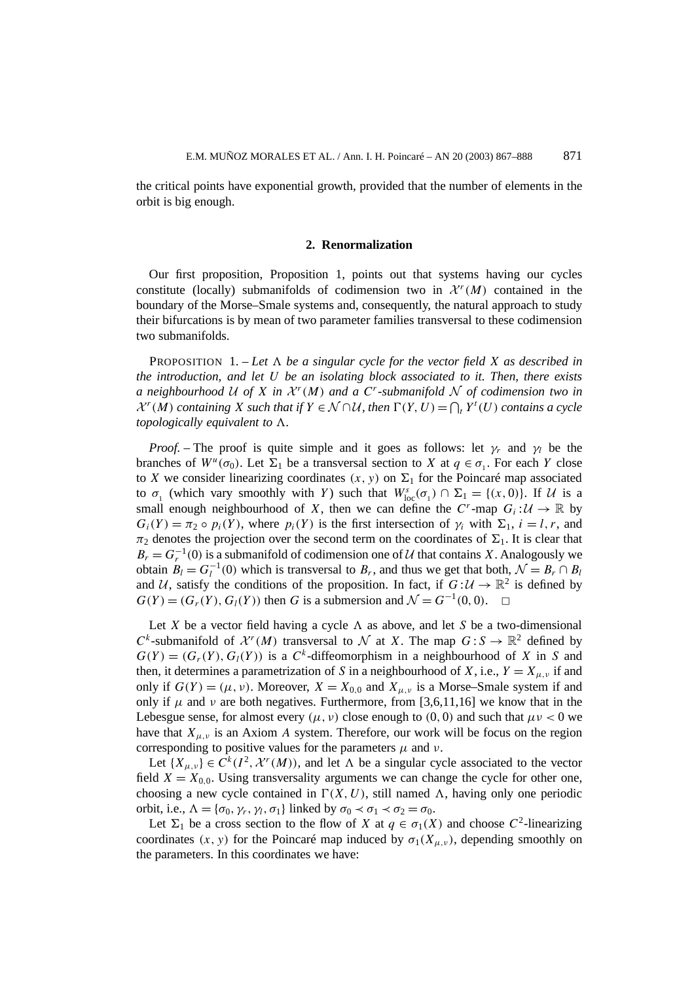the critical points have exponential growth, provided that the number of elements in the orbit is big enough.

#### **2. Renormalization**

Our first proposition, Proposition 1, points out that systems having our cycles constitute (locally) submanifolds of codimension two in  $\mathcal{X}^r(M)$  contained in the boundary of the Morse–Smale systems and, consequently, the natural approach to study their bifurcations is by mean of two parameter families transversal to these codimension two submanifolds.

**PROPOSITION** 1. - Let  $\Lambda$  be a singular cycle for the vector field X as described in *the introduction, and let U be an isolating block associated to it. Then, there exists a neighbourhood* U of X in  $\mathcal{X}^r(M)$  and a C<sup>*r*</sup>-submanifold N of codimension two in  $\mathcal{X}^r(M)$  *containing*  $X$  *such that if*  $Y \in \mathcal{N} \cap \mathcal{U}$ *, then*  $\Gamma(Y, U) = \bigcap_i Y^t(U)$  *contains a cycle topologically equivalent to .*

*Proof.* – The proof is quite simple and it goes as follows: let  $\gamma_r$  and  $\gamma_l$  be the branches of  $W^u(\sigma_0)$ . Let  $\Sigma_1$  be a transversal section to *X* at  $q \in \sigma_1$ . For each *Y* close to *X* we consider linearizing coordinates  $(x, y)$  on  $\Sigma_1$  for the Poincaré map associated to  $\sigma_1$  (which vary smoothly with *Y*) such that  $W^s_{loc}(\sigma_1) \cap \Sigma_1 = \{(x, 0)\}\)$ . If  $\mathcal U$  is a small enough neighbourhood of *X*, then we can define the *C<sup>r</sup>*-map  $G_i: U \to \mathbb{R}$  by  $G_i(Y) = \pi_2 \circ p_i(Y)$ , where  $p_i(Y)$  is the first intersection of  $\gamma_i$  with  $\Sigma_1$ ,  $i = l, r$ , and  $\pi_2$  denotes the projection over the second term on the coordinates of  $\Sigma_1$ . It is clear that  $B_r = G_r^{-1}(0)$  is a submanifold of codimension one of U that contains *X*. Analogously we obtain  $B_l = G_l^{-1}(0)$  which is transversal to  $B_r$ , and thus we get that both,  $\mathcal{N} = B_r \cap B_l$ and U, satisfy the conditions of the proposition. In fact, if  $G : U \to \mathbb{R}^2$  is defined by  $G(Y) = (G_*(Y), G_*(Y))$  then G is a submersion and  $N = G^{-1}(0, 0)$ .  $G(Y) = (G<sub>r</sub>(Y), G<sub>l</sub>(Y))$  then *G* is a submersion and  $\mathcal{N} = G^{-1}(0, 0)$ .

Let X be a vector field having a cycle  $\Lambda$  as above, and let S be a two-dimensional *C*<sup>*k*</sup>-submanifold of  $\mathcal{X}^r(M)$  transversal to N at *X*. The map  $G: S \to \mathbb{R}^2$  defined by  $G(Y) = (G<sub>r</sub>(Y), G<sub>l</sub>(Y))$  is a  $C<sup>k</sup>$ -diffeomorphism in a neighbourhood of *X* in *S* and then, it determines a parametrization of *S* in a neighbourhood of *X*, i.e.,  $Y = X_{\mu,\nu}$  if and only if  $G(Y) = (\mu, \nu)$ . Moreover,  $X = X_{0,0}$  and  $X_{\mu, \nu}$  is a Morse–Smale system if and only if  $\mu$  and  $\nu$  are both negatives. Furthermore, from [3,6,11,16] we know that in the Lebesgue sense, for almost every  $(\mu, \nu)$  close enough to  $(0, 0)$  and such that  $\mu\nu < 0$  we have that  $X_{\mu,\nu}$  is an Axiom *A* system. Therefore, our work will be focus on the region corresponding to positive values for the parameters  $\mu$  and  $\nu$ .

Let  $\{X_{\mu,\nu}\}\in C^k(I^2,\mathcal{X}^r(M))$ , and let  $\Lambda$  be a singular cycle associated to the vector field  $X = X_{0,0}$ . Using transversality arguments we can change the cycle for other one, choosing a new cycle contained in  $\Gamma(X, U)$ , still named  $\Lambda$ , having only one periodic orbit, i.e.,  $\Lambda = {\sigma_0, \gamma_r, \gamma_l, \sigma_1}$  linked by  $\sigma_0 \prec \sigma_1 \prec \sigma_2 = \sigma_0$ .

Let  $\Sigma_1$  be a cross section to the flow of *X* at  $q \in \sigma_1(X)$  and choose  $C^2$ -linearizing coordinates  $(x, y)$  for the Poincaré map induced by  $\sigma_1(X_{\mu, \nu})$ , depending smoothly on the parameters. In this coordinates we have: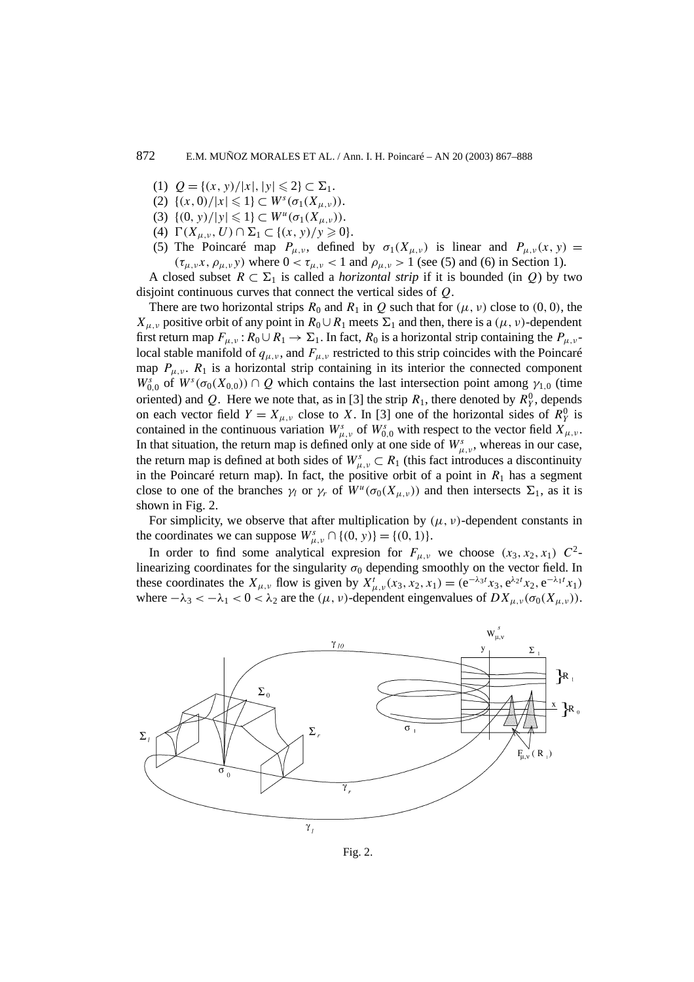- (1)  $Q = \{(x, y)/|x|, |y| \leq 2\} \subset \Sigma_1$ .
- (2)  $\{(x, 0)/|x| \leq 1\} \subset W^s(\sigma_1(X_{\mu,\nu}))$ .
- (3)  $\{(0, y)/|y| \leq 1\} \subset W^u(\sigma_1(X_{u, v}))$ .
- (4)  $\Gamma(X_{\mu,\nu}, U) \cap \Sigma_1 \subset \{(x, y)/y \geq 0\}.$
- (5) The Poincaré map  $P_{\mu,\nu}$ , defined by  $\sigma_1(X_{\mu,\nu})$  is linear and  $P_{\mu,\nu}(x, y) =$  $(\tau_{\mu,\nu}x,\rho_{\mu,\nu}y)$  where  $0 < \tau_{\mu,\nu} < 1$  and  $\rho_{\mu,\nu} > 1$  (see (5) and (6) in Section 1).

A closed subset  $R ⊂ Σ<sub>1</sub>$  is called a *horizontal strip* if it is bounded (in *Q*) by two disjoint continuous curves that connect the vertical sides of *Q*.

There are two horizontal strips  $R_0$  and  $R_1$  in  $Q$  such that for  $(\mu, \nu)$  close to  $(0, 0)$ , the *X<sub>u,v</sub>* positive orbit of any point in  $R_0 \cup R_1$  meets  $\Sigma_1$  and then, there is a  $(\mu, \nu)$ -dependent first return map  $F_{\mu,\nu}$ :  $R_0 \cup R_1 \to \Sigma_1$ . In fact,  $R_0$  is a horizontal strip containing the  $P_{\mu,\nu}$ local stable manifold of  $q_{\mu,\nu}$ , and  $F_{\mu,\nu}$  restricted to this strip coincides with the Poincaré map  $P_{\mu,\nu}$ .  $R_1$  is a horizontal strip containing in its interior the connected component  $W_{0,0}^s$  of  $W^s(\sigma_0(X_{0,0})) \cap Q$  which contains the last intersection point among  $\gamma_{1,0}$  (time oriented) and Q. Here we note that, as in [3] the strip  $R_1$ , there denoted by  $R_Y^0$ , depends on each vector field  $Y = X_{\mu,\nu}$  close to X. In [3] one of the horizontal sides of  $R_Y^0$  is contained in the continuous variation  $W^s_{\mu,\nu}$  of  $W^s_{0,0}$  with respect to the vector field  $X_{\mu,\nu}$ . In that situation, the return map is defined only at one side of  $W^s_{\mu,\nu}$ , whereas in our case, the return map is defined at both sides of  $W_{\mu,\nu}^s \subset R_1$  (this fact introduces a discontinuity in the Poincaré return map). In fact, the positive orbit of a point in  $R_1$  has a segment close to one of the branches  $\gamma_l$  or  $\gamma_r$  of  $W^u(\sigma_0(X_{\mu,\nu}))$  and then intersects  $\Sigma_1$ , as it is shown in Fig. 2.

For simplicity, we observe that after multiplication by  $(\mu, \nu)$ -dependent constants in the coordinates we can suppose  $W_{\mu,\nu}^s \cap \{(0, y)\} = \{(0, 1)\}.$ 

In order to find some analytical expression for  $F_{\mu,\nu}$  we choose  $(x_3, x_2, x_1)$   $C^2$ linearizing coordinates for the singularity  $\sigma_0$  depending smoothly on the vector field. In these coordinates the  $X_{\mu,\nu}$  flow is given by  $X_{\mu,\nu}^t(x_3, x_2, x_1) = (e^{-\lambda_3 t}x_3, e^{\lambda_2 t}x_2, e^{-\lambda_1 t}x_1)$ where  $-\lambda_3 < -\lambda_1 < 0 < \lambda_2$  are the  $(\mu, \nu)$ -dependent eingenvalues of  $DX_{\mu, \nu}(\sigma_0(X_{\mu, \nu}))$ .



Fig. 2.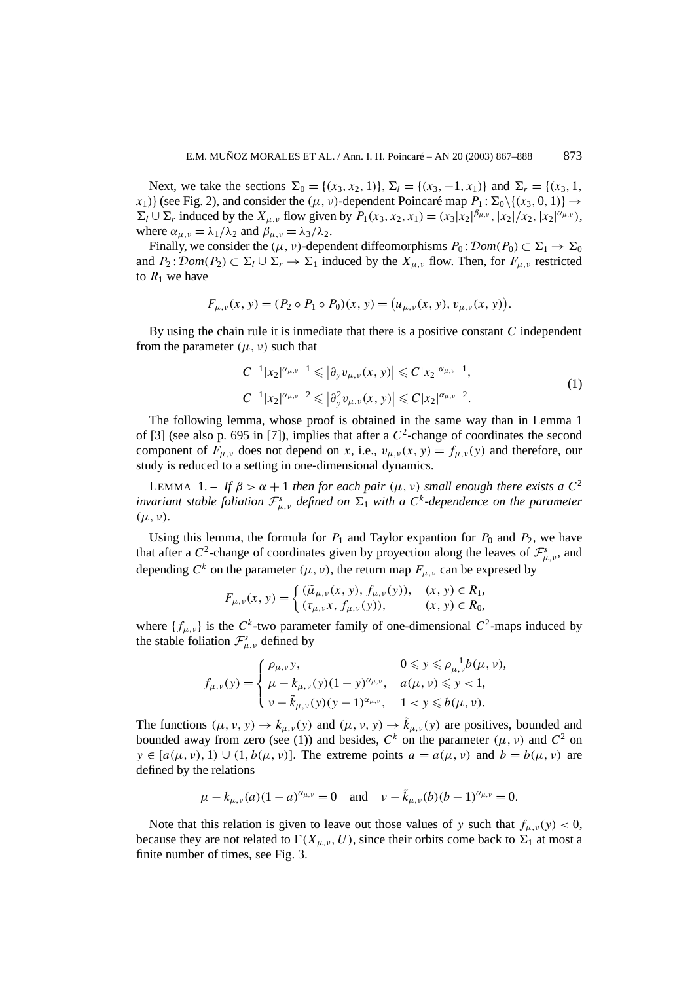Next, we take the sections  $\Sigma_0 = \{(x_3, x_2, 1)\}, \Sigma_l = \{(x_3, -1, x_1)\}$  and  $\Sigma_r = \{(x_3, 1, x_2, 1)\}$ *x*<sub>1</sub>)} (see Fig. 2), and consider the  $(\mu, \nu)$ -dependent Poincaré map  $P_1 : \Sigma_0 \setminus \{(x_3, 0, 1)\} \rightarrow$  $\Sigma_l \cup \Sigma_r$  induced by the  $X_{\mu,\nu}$  flow given by  $P_1(x_3, x_2, x_1) = (x_3 |x_2|^{\beta_{\mu,\nu}}, |x_2|/x_2, |x_2|^{\alpha_{\mu,\nu}})$ , where  $\alpha_{\mu,\nu} = \lambda_1/\lambda_2$  and  $\beta_{\mu,\nu} = \lambda_3/\lambda_2$ .

Finally, we consider the  $(\mu, \nu)$ -dependent diffeomorphisms  $P_0 : \mathcal{D}om(P_0) \subset \Sigma_1 \to \Sigma_0$ and  $P_2$ :  $\mathcal{D}om(P_2) \subset \Sigma_l \cup \Sigma_r \to \Sigma_l$  induced by the  $X_{u,v}$  flow. Then, for  $F_{u,v}$  restricted to  $R_1$  we have

$$
F_{\mu,\nu}(x, y) = (P_2 \circ P_1 \circ P_0)(x, y) = (u_{\mu,\nu}(x, y), v_{\mu,\nu}(x, y)).
$$

By using the chain rule it is inmediate that there is a positive constant *C* independent from the parameter  $(\mu, \nu)$  such that

$$
C^{-1}|x_2|^{\alpha_{\mu,\nu}-1} \leqslant |\partial_y v_{\mu,\nu}(x,y)| \leqslant C|x_2|^{\alpha_{\mu,\nu}-1},
$$
  
\n
$$
C^{-1}|x_2|^{\alpha_{\mu,\nu}-2} \leqslant |\partial_y^2 v_{\mu,\nu}(x,y)| \leqslant C|x_2|^{\alpha_{\mu,\nu}-2}.
$$
\n(1)

The following lemma, whose proof is obtained in the same way than in Lemma 1 of [3] (see also p. 695 in [7]), implies that after a  $C^2$ -change of coordinates the second component of  $F_{\mu,\nu}$  does not depend on *x*, i.e.,  $v_{\mu,\nu}(x, y) = f_{\mu,\nu}(y)$  and therefore, our study is reduced to a setting in one-dimensional dynamics.

LEMMA 1. – If  $\beta > \alpha + 1$  *then for each pair*  $(\mu, \nu)$  *small enough there exists a*  $C^2$ *invariant stable foliation*  $\mathcal{F}_{\mu,\nu}^s$  *defined on*  $\Sigma_1$  *with a*  $C^k$ -dependence on the parameter *(µ, ν).*

Using this lemma, the formula for  $P_1$  and Taylor expantion for  $P_0$  and  $P_2$ , we have that after a  $C^2$ -change of coordinates given by proyection along the leaves of  $\mathcal{F}^s_{\mu,\nu}$ , and depending  $C^k$  on the parameter  $(\mu, \nu)$ , the return map  $F_{\mu, \nu}$  can be expresed by

$$
F_{\mu,\nu}(x, y) = \begin{cases} (\tilde{\mu}_{\mu,\nu}(x, y), f_{\mu,\nu}(y)), & (x, y) \in R_1, \\ (\tau_{\mu,\nu}x, f_{\mu,\nu}(y)), & (x, y) \in R_0, \end{cases}
$$

where  $\{f_{\mu,\nu}\}\$ is the  $C^k$ -two parameter family of one-dimensional  $C^2$ -maps induced by the stable foliation  $\mathcal{F}^s_{\mu,\nu}$  defined by

$$
f_{\mu,\nu}(y) = \begin{cases} \rho_{\mu,\nu}y, & 0 \leq y \leq \rho_{\mu,\nu}^{-1}b(\mu,\nu), \\ \mu - k_{\mu,\nu}(y)(1-y)^{\alpha_{\mu,\nu}}, & a(\mu,\nu) \leq y < 1, \\ \nu - \tilde{k}_{\mu,\nu}(y)(y-1)^{\alpha_{\mu,\nu}}, & 1 < y \leq b(\mu,\nu). \end{cases}
$$

The functions  $(\mu, \nu, y) \to k_{\mu,\nu}(y)$  and  $(\mu, \nu, y) \to \tilde{k}_{\mu,\nu}(y)$  are positives, bounded and bounded away from zero (see (1)) and besides,  $C^k$  on the parameter  $(\mu, \nu)$  and  $C^2$  on  $y \in [a(\mu, \nu), 1) \cup (1, b(\mu, \nu)]$ . The extreme points  $a = a(\mu, \nu)$  and  $b = b(\mu, \nu)$  are defined by the relations

$$
\mu - k_{\mu,\nu}(a)(1-a)^{\alpha_{\mu,\nu}} = 0
$$
 and  $\nu - \tilde{k}_{\mu,\nu}(b)(b-1)^{\alpha_{\mu,\nu}} = 0$ .

Note that this relation is given to leave out those values of *y* such that  $f_{\mu,\nu}(y) < 0$ , because they are not related to  $\Gamma(X_{\mu,\nu}, U)$ , since their orbits come back to  $\Sigma_1$  at most a finite number of times, see Fig. 3.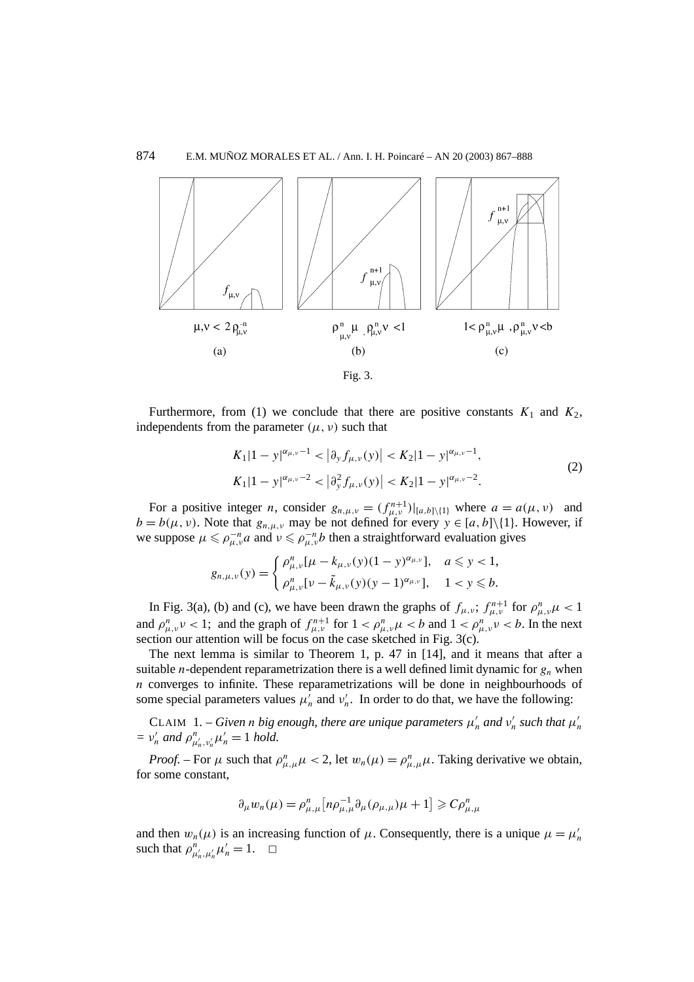

Fig. 3.

Furthermore, from (1) we conclude that there are positive constants  $K_1$  and  $K_2$ , independents from the parameter  $(\mu, \nu)$  such that

$$
K_1|1-y|^{\alpha_{\mu,\nu}-1} < |\partial_y f_{\mu,\nu}(y)| < K_2|1-y|^{\alpha_{\mu,\nu}-1},
$$
\n
$$
K_1|1-y|^{\alpha_{\mu,\nu}-2} < |\partial_y^2 f_{\mu,\nu}(y)| < K_2|1-y|^{\alpha_{\mu,\nu}-2}.
$$
\n
$$
(2)
$$

For a positive integer *n*, consider  $g_{n,\mu,\nu} = (f_{\mu,\nu}^{n+1})|_{[a,b]\setminus\{1\}}$  where  $a = a(\mu, \nu)$  and  $b = b(\mu, \nu)$ . Note that  $g_{n,\mu,\nu}$  may be not defined for every  $y \in [a, b] \setminus \{1\}$ . However, if we suppose  $\mu \le \rho_{\mu,\nu}^{-n} a$  and  $\nu \le \rho_{\mu,\nu}^{-n} b$  then a straightforward evaluation gives

$$
g_{n,\mu,\nu}(y) = \begin{cases} \rho_{\mu,\nu}^n[\mu - k_{\mu,\nu}(y)(1-y)^{\alpha_{\mu,\nu}}], & a \leq y < 1, \\ \rho_{\mu,\nu}^n[\nu - \tilde{k}_{\mu,\nu}(y)(y-1)^{\alpha_{\mu,\nu}}], & 1 < y \leq b. \end{cases}
$$

In Fig. 3(a), (b) and (c), we have been drawn the graphs of  $f_{\mu,\nu}$ ;  $f_{\mu,\nu}^{n+1}$  for  $\rho_{\mu,\nu}^n \mu < 1$ and  $\rho_{\mu,\nu}^n v < 1$ ; and the graph of  $f_{\mu,\nu}^{n+1}$  for  $1 < \rho_{\mu,\nu}^n \mu < b$  and  $1 < \rho_{\mu,\nu}^n v < b$ . In the next section our attention will be focus on the case sketched in Fig. 3(c).

The next lemma is similar to Theorem 1, p. 47 in [14], and it means that after a suitable *n*-dependent reparametrization there is a well defined limit dynamic for  $g_n$  when *n* converges to infinite. These reparametrizations will be done in neighbourhoods of some special parameters values  $\mu'_n$  and  $\nu'_n$ . In order to do that, we have the following:

CLAIM 1. – *Given n big enough, there are unique parameters*  $\mu'_n$  *and*  $\nu'_n$  *such that*  $\mu'_n$  $= v'_n$  *and*  $\rho^n_{\mu'_n, \nu'_n} \mu'_n = 1$  *hold.* 

*Proof.* – For  $\mu$  such that  $\rho_{\mu,\mu}^n \mu < 2$ , let  $w_n(\mu) = \rho_{\mu,\mu}^n \mu$ . Taking derivative we obtain, for some constant,

$$
\partial_{\mu} w_{n}(\mu) = \rho_{\mu,\mu}^{n} \left[ n \rho_{\mu,\mu}^{-1} \partial_{\mu} (\rho_{\mu,\mu}) \mu + 1 \right] \geqslant C \rho_{\mu,\mu}^{n}
$$

and then  $w_n(\mu)$  is an increasing function of  $\mu$ . Consequently, there is a unique  $\mu = \mu'_n$ such that  $\rho_{\mu'_n,\mu'_n}^n \mu'_n = 1$ .  $\Box$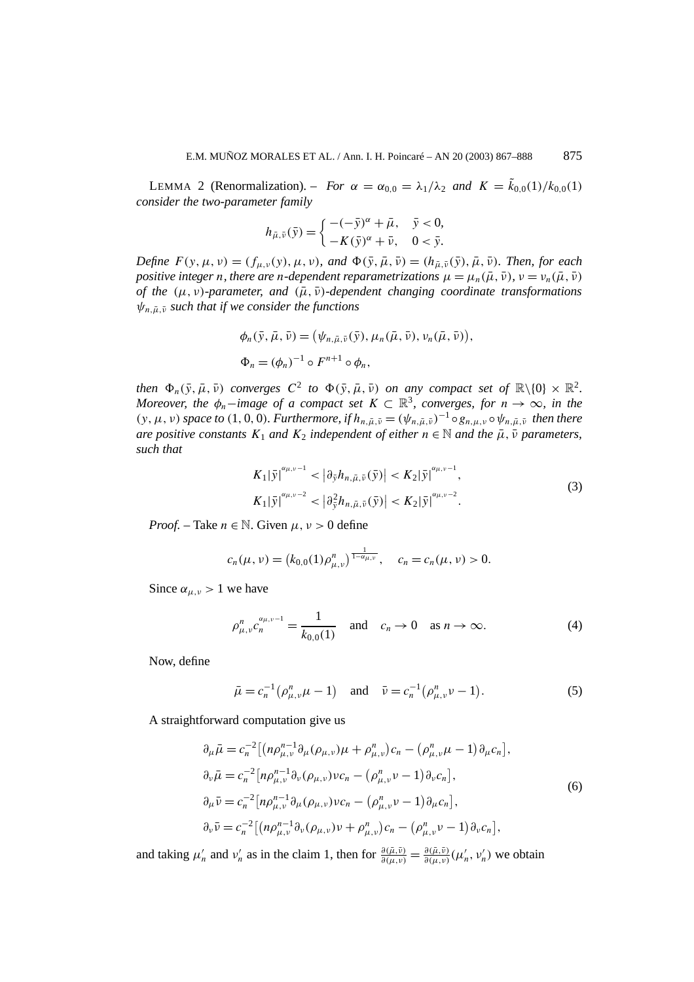LEMMA 2 (Renormalization). – *For*  $\alpha = \alpha_{0,0} = \lambda_1/\lambda_2$  and  $K = \tilde{k}_{0,0}(1)/k_{0,0}(1)$ *consider the two-parameter family*

$$
h_{\bar{\mu},\bar{\nu}}(\bar{y}) = \begin{cases} -(-\bar{y})^{\alpha} + \bar{\mu}, & \bar{y} < 0, \\ -K(\bar{y})^{\alpha} + \bar{\nu}, & 0 < \bar{y}. \end{cases}
$$

*Define*  $F(y, \mu, v) = (f_{\mu, v}(y), \mu, v)$ *, and*  $\Phi(\bar{y}, \bar{\mu}, \bar{v}) = (h_{\bar{\mu}, \bar{v}}(\bar{y}), \bar{\mu}, \bar{v})$ *. Then, for each positive integer n, there are n-dependent reparametrizations*  $\mu = \mu_n(\bar{\mu}, \bar{\nu})$ ,  $\nu = \nu_n(\bar{\mu}, \bar{\nu})$ *of the*  $(μ, ν)$ *-parameter, and*  $(μ, υ)$ *-dependent changing coordinate transformations*  $\psi_{n,\bar{u},\bar{v}}$  *such that if we consider the functions* 

$$
\phi_n(\bar{y}, \bar{\mu}, \bar{\nu}) = (\psi_{n, \bar{\mu}, \bar{\nu}}(\bar{y}), \mu_n(\bar{\mu}, \bar{\nu}), \nu_n(\bar{\mu}, \bar{\nu})),
$$
  

$$
\Phi_n = (\phi_n)^{-1} \circ F^{n+1} \circ \phi_n,
$$

*then*  $\Phi_n(\bar{y}, \bar{\mu}, \bar{\nu})$  *converges*  $C^2$  *to*  $\Phi(\bar{y}, \bar{\mu}, \bar{\nu})$  *on any compact set of*  $\mathbb{R}\setminus\{0\} \times \mathbb{R}^2$ . *Moreover, the*  $\phi_n$ -*image of a compact set*  $K \subset \mathbb{R}^3$ *, converges, for*  $n \to \infty$ *, in the*  $(y, \mu, \nu)$  *space to*  $(1, 0, 0)$ *. Furthermore, if*  $h_{n, \bar{u}, \bar{\nu}} = (\psi_{n, \bar{u}, \bar{\nu}})^{-1} \circ g_{n, \mu, \nu} \circ \psi_{n, \bar{u}, \bar{\nu}}$  *then there are positive constants*  $K_1$  *and*  $K_2$  *independent of either*  $n \in \mathbb{N}$  *and the*  $\bar{\mu}, \bar{\nu}$  *parameters, such that*

$$
K_{1}|\bar{y}|^{\alpha_{\mu,\nu}-1} < |\partial_{\bar{y}}h_{n,\bar{\mu},\bar{\nu}}(\bar{y})| < K_{2}|\bar{y}|^{\alpha_{\mu,\nu}-1},
$$
  
\n
$$
K_{1}|\bar{y}|^{\alpha_{\mu,\nu}-2} < |\partial_{\bar{y}}^{2}h_{n,\bar{\mu},\bar{\nu}}(\bar{y})| < K_{2}|\bar{y}|^{\alpha_{\mu,\nu}-2}.
$$
\n(3)

*Proof.* – Take  $n \in \mathbb{N}$ . Given  $\mu, \nu > 0$  define

$$
c_n(\mu, \nu) = (k_{0,0}(1)\rho_{\mu,\nu}^n)^{\frac{1}{1-\alpha_{\mu,\nu}}}, \quad c_n = c_n(\mu, \nu) > 0.
$$

Since  $\alpha_{\mu,\nu} > 1$  we have

$$
\rho_{\mu,\nu}^n c_n^{\alpha_{\mu,\nu-1}} = \frac{1}{k_{0,0}(1)} \quad \text{and} \quad c_n \to 0 \quad \text{as } n \to \infty. \tag{4}
$$

Now, define

$$
\bar{\mu} = c_n^{-1} \left( \rho^n_{\mu,\nu} \mu - 1 \right) \quad \text{and} \quad \bar{\nu} = c_n^{-1} \left( \rho^n_{\mu,\nu} \nu - 1 \right). \tag{5}
$$

A straightforward computation give us

$$
\partial_{\mu}\bar{\mu} = c_{n}^{-2} \left[ (n\rho_{\mu,\nu}^{n-1} \partial_{\mu}(\rho_{\mu,\nu})\mu + \rho_{\mu,\nu}^{n})c_{n} - (\rho_{\mu,\nu}^{n}\mu - 1) \partial_{\mu}c_{n} \right],
$$
  
\n
$$
\partial_{\nu}\bar{\mu} = c_{n}^{-2} \left[ n\rho_{\mu,\nu}^{n-1} \partial_{\nu}(\rho_{\mu,\nu})\nu c_{n} - (\rho_{\mu,\nu}^{n}\nu - 1) \partial_{\nu}c_{n} \right],
$$
  
\n
$$
\partial_{\mu}\bar{\nu} = c_{n}^{-2} \left[ n\rho_{\mu,\nu}^{n-1} \partial_{\mu}(\rho_{\mu,\nu})\nu c_{n} - (\rho_{\mu,\nu}^{n}\nu - 1) \partial_{\mu}c_{n} \right],
$$
  
\n
$$
\partial_{\nu}\bar{\nu} = c_{n}^{-2} \left[ (n\rho_{\mu,\nu}^{n-1} \partial_{\nu}(\rho_{\mu,\nu})\nu + \rho_{\mu,\nu}^{n})c_{n} - (\rho_{\mu,\nu}^{n}\nu - 1) \partial_{\nu}c_{n} \right],
$$
  
\n(6)

and taking  $\mu'_n$  and  $\nu'_n$  as in the claim 1, then for  $\frac{\partial(\bar{\mu}, \bar{\nu})}{\partial(\mu, \nu)} = \frac{\partial(\bar{\mu}, \bar{\nu})}{\partial(\mu, \nu)} (\mu'_n, \nu'_n)$  we obtain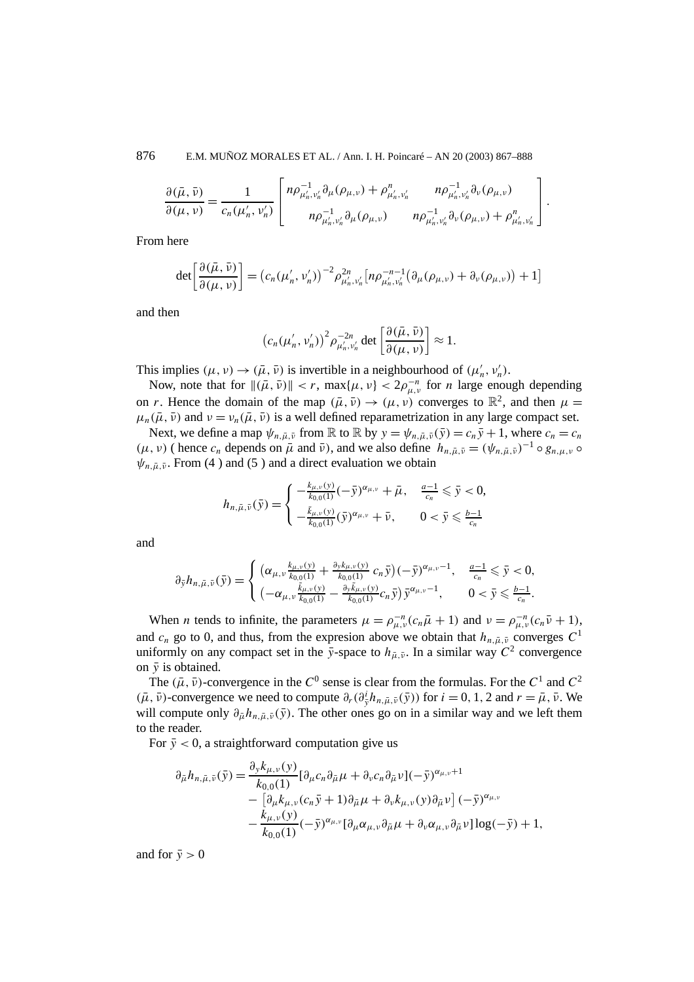876 E.M. MUÑOZ MORALES ET AL. / Ann. I. H. Poincaré – AN 20 (2003) 867–888

$$
\frac{\partial(\bar{\mu}, \bar{\nu})}{\partial(\mu, \nu)} = \frac{1}{c_n(\mu'_n, \nu'_n)} \left[ \frac{n \rho_{\mu'_n, \nu'_n}^{-1} \partial_{\mu}(\rho_{\mu, \nu}) + \rho_{\mu'_n, \nu'_n}^n}{n \rho_{\mu'_n, \nu'_n}^{-1} \partial_{\mu}(\rho_{\mu, \nu})} \frac{n \rho_{\mu'_n, \nu'_n}^{-1} \partial_{\nu}(\rho_{\mu, \nu})}{n \rho_{\mu'_n, \nu'_n}^{-1} \partial_{\nu}(\rho_{\mu, \nu}) + \rho_{\mu'_n, \nu'_n}^n} \right].
$$

From here

$$
\det\left[\frac{\partial(\bar{\mu},\bar{\nu})}{\partial(\mu,\nu)}\right] = \left(c_n(\mu'_n,\nu'_n)\right)^{-2} \rho_{\mu'_n,\nu'_n}^{2n} \left[n\rho_{\mu'_n,\nu'_n}^{-n-1}\left(\partial_{\mu}(\rho_{\mu,\nu}) + \partial_{\nu}(\rho_{\mu,\nu})\right) + 1\right]
$$

and then

$$
\left(c_n(\mu'_n, \nu'_n)\right)^2 \rho_{\mu'_n, \nu'_n}^{-2n} \det \left[\frac{\partial(\bar{\mu}, \bar{\nu})}{\partial(\mu, \nu)}\right] \approx 1.
$$

This implies  $(\mu, \nu) \rightarrow (\bar{\mu}, \bar{\nu})$  is invertible in a neighbourhood of  $(\mu'_n, \nu'_n)$ .

Now, note that for  $\|(\bar{\mu}, \bar{\nu})\| < r$ ,  $\max{\{\mu, \nu\}} < 2\rho_{\mu, \nu}^{-n}$  for *n* large enough depending on *r*. Hence the domain of the map  $(\bar{\mu}, \bar{\nu}) \rightarrow (\mu, \nu)$  converges to  $\mathbb{R}^2$ , and then  $\mu =$  $\mu_n(\bar{\mu}, \bar{\nu})$  and  $\nu = \nu_n(\bar{\mu}, \bar{\nu})$  is a well defined reparametrization in any large compact set.

Next, we define a map  $\psi_{n,\bar{u},\bar{v}}$  from R to R by  $y = \psi_{n,\bar{u},\bar{v}}(\bar{y}) = c_n\bar{y} + 1$ , where  $c_n = c_n$  $(\mu, \nu)$  ( hence  $c_n$  depends on  $\bar{\mu}$  and  $\bar{\nu}$ ), and we also define  $h_{n, \bar{\mu}, \bar{\nu}} = (\psi_{n, \bar{\mu}, \bar{\nu}})^{-1} \circ g_{n, \mu, \nu}$  $\psi_{n,\bar{\mu},\bar{\nu}}$ . From (4) and (5) and a direct evaluation we obtain

$$
h_{n,\bar{\mu},\bar{\nu}}(\bar{y}) = \begin{cases} -\frac{k_{\mu,\nu}(y)}{k_{0,0}(1)} (-\bar{y})^{\alpha_{\mu,\nu}} + \bar{\mu}, & \frac{a-1}{c_n} \leq \bar{y} < 0, \\ -\frac{\tilde{k}_{\mu,\nu}(y)}{k_{0,0}(1)} (\bar{y})^{\alpha_{\mu,\nu}} + \bar{\nu}, & 0 < \bar{y} \leq \frac{b-1}{c_n} \end{cases}
$$

and

$$
\partial_{\bar{y}} h_{n,\bar{\mu},\bar{\nu}}(\bar{y}) = \begin{cases}\n(\alpha_{\mu,\nu} \frac{k_{\mu,\nu}(y)}{k_{0,0}(1)} + \frac{\partial_y k_{\mu,\nu}(y)}{k_{0,0}(1)} c_n \bar{y})(-\bar{y})^{\alpha_{\mu,\nu}-1}, & \frac{a-1}{c_n} \leq \bar{y} < 0, \\
(-\alpha_{\mu,\nu} \frac{\tilde{k}_{\mu,\nu}(y)}{k_{0,0}(1)} - \frac{\partial_y \tilde{k}_{\mu,\nu}(y)}{k_{0,0}(1)} c_n \bar{y}) \bar{y}^{\alpha_{\mu,\nu}-1}, & 0 < \bar{y} \leq \frac{b-1}{c_n}.\n\end{cases}
$$

When *n* tends to infinite, the parameters  $\mu = \rho_{\mu,\nu}^{-n} (c_n \bar{\mu} + 1)$  and  $\nu = \rho_{\mu,\nu}^{-n} (c_n \bar{\nu} + 1)$ , and  $c_n$  go to 0, and thus, from the expression above we obtain that  $h_{n,\bar{u},\bar{v}}$  converges  $C^1$ uniformly on any compact set in the  $\bar{y}$ -space to  $h_{\bar{\mu},\bar{\nu}}$ . In a similar way  $C^2$  convergence on  $\bar{v}$  is obtained.

The  $(\bar{\mu}, \bar{\nu})$ -convergence in the  $C^0$  sense is clear from the formulas. For the  $C^1$  and  $C^2$  $(\bar{\mu}, \bar{\nu})$ -convergence we need to compute  $\partial_r(\partial_{\bar{y}}^i h_{n,\bar{\mu},\bar{\nu}}(\bar{y}))$  for  $i = 0, 1, 2$  and  $r = \bar{\mu}, \bar{\nu}$ . We will compute only  $\partial_{\bar{\mu}} h_{n,\bar{\mu},\bar{\nu}}(\bar{y})$ . The other ones go on in a similar way and we left them to the reader.

For  $\bar{y}$  < 0, a straightforward computation give us

$$
\partial_{\tilde{\mu}} h_{n,\tilde{\mu},\tilde{\nu}}(\bar{y}) = \frac{\partial_{y} k_{\mu,\nu}(y)}{k_{0,0}(1)} [\partial_{\mu} c_{n} \partial_{\tilde{\mu}} \mu + \partial_{\nu} c_{n} \partial_{\tilde{\mu}} \nu] (-\bar{y})^{\alpha_{\mu,\nu}+1} \n- \left[ \partial_{\mu} k_{\mu,\nu} (c_{n} \bar{y} + 1) \partial_{\tilde{\mu}} \mu + \partial_{\nu} k_{\mu,\nu}(y) \partial_{\tilde{\mu}} \nu \right] (-\bar{y})^{\alpha_{\mu,\nu}} \n- \frac{k_{\mu,\nu}(y)}{k_{0,0}(1)} (-\bar{y})^{\alpha_{\mu,\nu}} [\partial_{\mu} \alpha_{\mu,\nu} \partial_{\tilde{\mu}} \mu + \partial_{\nu} \alpha_{\mu,\nu} \partial_{\tilde{\mu}} \nu] \log(-\bar{y}) + 1,
$$

and for  $\bar{v} > 0$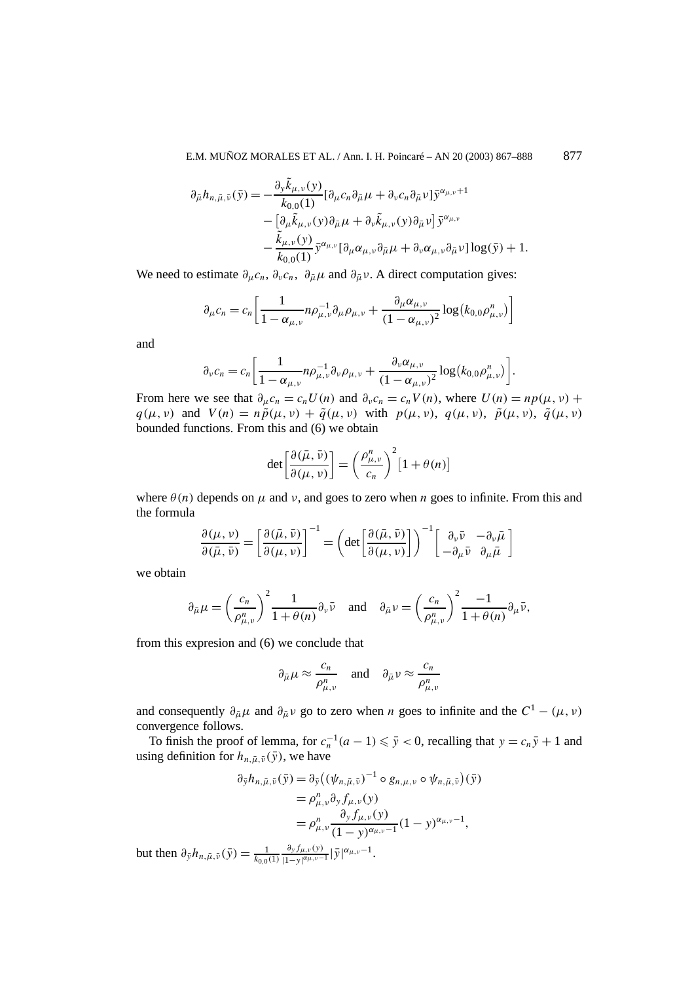E.M. MUÑOZ MORALES ET AL. / Ann. I. H. Poincaré – AN 20 (2003) 867–888 877

$$
\partial_{\tilde{\mu}} h_{n,\tilde{\mu},\tilde{\nu}}(\tilde{y}) = -\frac{\partial_{y} \tilde{k}_{\mu,\nu}(y)}{k_{0,0}(1)} [\partial_{\mu} c_{n} \partial_{\tilde{\mu}} \mu + \partial_{\nu} c_{n} \partial_{\tilde{\mu}} \nu] \tilde{y}^{\alpha_{\mu,\nu}+1} \n- \left[ \partial_{\mu} \tilde{k}_{\mu,\nu}(y) \partial_{\tilde{\mu}} \mu + \partial_{\nu} \tilde{k}_{\mu,\nu}(y) \partial_{\tilde{\mu}} \nu \right] \tilde{y}^{\alpha_{\mu,\nu}} \n- \frac{\tilde{k}_{\mu,\nu}(y)}{k_{0,0}(1)} \tilde{y}^{\alpha_{\mu,\nu}} [\partial_{\mu} \alpha_{\mu,\nu} \partial_{\tilde{\mu}} \mu + \partial_{\nu} \alpha_{\mu,\nu} \partial_{\tilde{\mu}} \nu] \log(\tilde{y}) + 1.
$$

We need to estimate  $\partial_{\mu}c_n$ ,  $\partial_{\nu}c_n$ ,  $\partial_{\bar{\mu}}\mu$  and  $\partial_{\bar{\mu}}\nu$ . A direct computation gives:

$$
\partial_{\mu} c_{n} = c_{n} \left[ \frac{1}{1 - \alpha_{\mu, \nu}} n \rho_{\mu, \nu}^{-1} \partial_{\mu} \rho_{\mu, \nu} + \frac{\partial_{\mu} \alpha_{\mu, \nu}}{(1 - \alpha_{\mu, \nu})^{2}} \log(k_{0,0} \rho_{\mu, \nu}^{n}) \right]
$$

and

$$
\partial_{\nu}c_n = c_n \left[ \frac{1}{1 - \alpha_{\mu,\nu}} n \rho_{\mu,\nu}^{-1} \partial_{\nu} \rho_{\mu,\nu} + \frac{\partial_{\nu} \alpha_{\mu,\nu}}{(1 - \alpha_{\mu,\nu})^2} \log(k_{0,0} \rho_{\mu,\nu}^n) \right].
$$

From here we see that  $\partial_{\mu}c_n = c_nU(n)$  and  $\partial_{\nu}c_n = c_nV(n)$ , where  $U(n) = np(\mu, \nu)$  +  $q(\mu, \nu)$  and  $V(n) = n\tilde{p}(\mu, \nu) + \tilde{q}(\mu, \nu)$  with  $p(\mu, \nu), q(\mu, \nu), \tilde{p}(\mu, \nu), \tilde{q}(\mu, \nu)$ bounded functions. From this and (6) we obtain

$$
\det\left[\frac{\partial(\bar{\mu}, \bar{\nu})}{\partial(\mu, \nu)}\right] = \left(\frac{\rho^n_{\mu, \nu}}{c_n}\right)^2 [1 + \theta(n)]
$$

where  $\theta(n)$  depends on  $\mu$  and  $\nu$ , and goes to zero when *n* goes to infinite. From this and the formula

$$
\frac{\partial(\mu, \nu)}{\partial(\bar{\mu}, \bar{\nu})} = \left[\frac{\partial(\bar{\mu}, \bar{\nu})}{\partial(\mu, \nu)}\right]^{-1} = \left(\det\left[\frac{\partial(\bar{\mu}, \bar{\nu})}{\partial(\mu, \nu)}\right]\right)^{-1} \left[\begin{array}{cc} \partial_{\nu}\bar{\nu} & -\partial_{\nu}\bar{\mu} \\ -\partial_{\mu}\bar{\nu} & \partial_{\mu}\bar{\mu} \end{array}\right]
$$

we obtain

$$
\partial_{\bar{\mu}}\mu = \left(\frac{c_n}{\rho_{\mu,\nu}^n}\right)^2 \frac{1}{1+\theta(n)} \partial_{\nu}\bar{\nu} \quad \text{and} \quad \partial_{\bar{\mu}}\nu = \left(\frac{c_n}{\rho_{\mu,\nu}^n}\right)^2 \frac{-1}{1+\theta(n)} \partial_{\mu}\bar{\nu},
$$

from this expresion and (6) we conclude that

$$
\partial_{\bar{\mu}} \mu \approx \frac{c_n}{\rho_{\mu,\nu}^n}
$$
 and  $\partial_{\bar{\mu}} \nu \approx \frac{c_n}{\rho_{\mu,\nu}^n}$ 

and consequently  $\partial_{\bar{\mu}} \mu$  and  $\partial_{\bar{\mu}} \nu$  go to zero when *n* goes to infinite and the  $C^1 - (\mu, \nu)$ convergence follows.

To finish the proof of lemma, for  $c_n^{-1}(a-1) \leq \bar{y} < 0$ , recalling that  $y = c_n \bar{y} + 1$  and using definition for  $h_{n,\bar{\mu},\bar{\nu}}(\bar{y})$ , we have

$$
\partial_{\bar{y}} h_{n,\bar{\mu},\bar{\nu}}(\bar{y}) = \partial_{\bar{y}} ((\psi_{n,\bar{\mu},\bar{\nu}})^{-1} \circ g_{n,\mu,\nu} \circ \psi_{n,\bar{\mu},\bar{\nu}})(\bar{y})
$$
  
\n
$$
= \rho_{\mu,\nu}^{n} \partial_{y} f_{\mu,\nu}(y)
$$
  
\n
$$
= \rho_{\mu,\nu}^{n} \frac{\partial_{y} f_{\mu,\nu}(y)}{(1 - y)^{\alpha_{\mu,\nu} - 1}} (1 - y)^{\alpha_{\mu,\nu} - 1},
$$

but then  $\partial_{\bar{y}} h_{n,\bar{\mu},\bar{\nu}}(\bar{y}) = \frac{1}{k_{0,0}(1)}$ *∂yfµ,ν (y)*  $\frac{\partial_y f_{\mu,\nu}(y)}{|1-y|^{\alpha_{\mu,\nu}-1}}|\bar{y}|^{\alpha_{\mu,\nu}-1}.$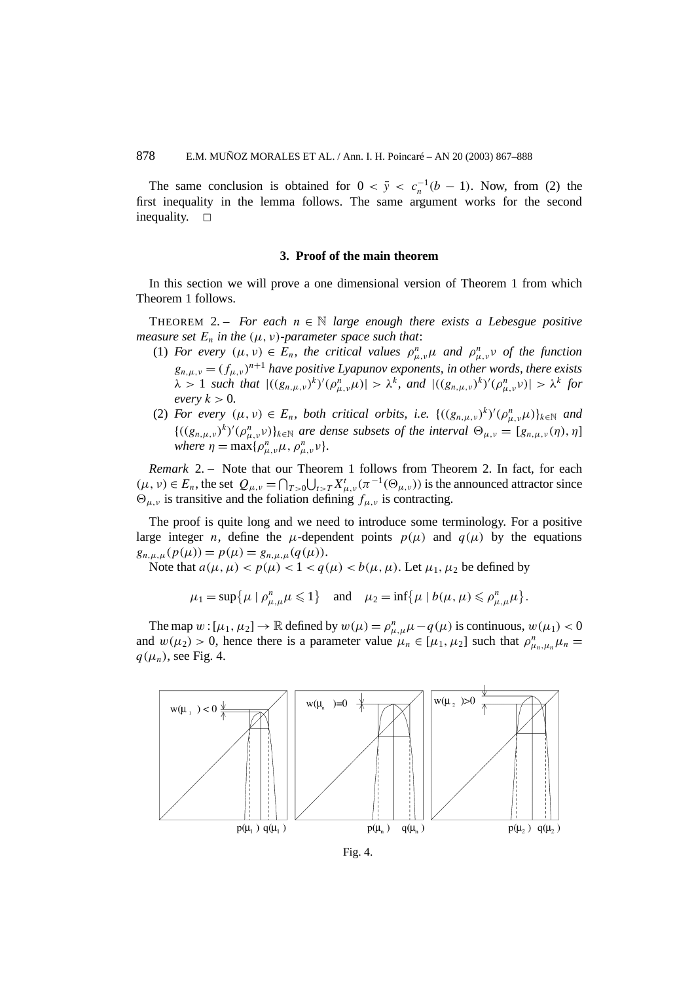The same conclusion is obtained for  $0 < \bar{y} < c_n^{-1}(b-1)$ . Now, from (2) the first inequality in the lemma follows. The same argument works for the second inequality.  $\square$ 

#### **3. Proof of the main theorem**

In this section we will prove a one dimensional version of Theorem 1 from which Theorem 1 follows.

THEOREM 2. – *For each*  $n \in \mathbb{N}$  *large enough there exists a Lebesgue positive measure set*  $E_n$  *in the*  $(\mu, \nu)$ *-parameter space such that:* 

- (1) *For every*  $(\mu, \nu) \in E_n$ , the critical values  $\rho_{\mu,\nu}^n \mu$  and  $\rho_{\mu,\nu}^n \nu$  of the function  $g_{n,\mu,\nu} = (f_{\mu,\nu})^{n+1}$  *have positive Lyapunov exponents, in other words, there exists*  $\lambda > 1$  such that  $|((g_{n,\mu,\nu})^k)'(\rho_{\mu,\nu}^n\mu)| > \lambda^k$ , and  $|((g_{n,\mu,\nu})^k)'(\rho_{\mu,\nu}^n\nu)| > \lambda^k$  for *every*  $k > 0$ *.*
- (2) *For every*  $(\mu, \nu) \in E_n$ , *both critical orbits, i.e.*  $\{((g_{n,\mu,\nu})^k)'(\rho_{\mu,\nu}^n\mu)\}_{k\in\mathbb{N}}$  *and*  ${( (g_{n,\mu,\nu})^k)'(\rho_{\mu,\nu}^n v)}_{k\in\mathbb{N}}$  *are dense subsets of the interval*  $\Theta_{\mu,\nu} = [g_{n,\mu,\nu}(\eta), \eta]$ *where*  $\eta = \max\{\rho_{\mu,\nu}^n \mu, \rho_{\mu,\nu}^n \nu\}.$

*Remark* 2. – Note that our Theorem 1 follows from Theorem 2. In fact, for each  $(\mu, \nu) \in E_n$ , the set  $Q_{\mu, \nu} = \bigcap_{T > 0} \bigcup_{t > T} X^t_{\mu, \nu}(\pi^{-1}(\Theta_{\mu, \nu}))$  is the announced attractor since  $\Theta_{\mu,\nu}$  is transitive and the foliation defining  $f_{\mu,\nu}$  is contracting.

The proof is quite long and we need to introduce some terminology. For a positive large integer *n*, define the  $\mu$ -dependent points  $p(\mu)$  and  $q(\mu)$  by the equations  $g_{n,\mu,\mu}(p(\mu)) = p(\mu) = g_{n,\mu,\mu}(q(\mu)).$ 

Note that  $a(\mu, \mu) < p(\mu) < 1 < q(\mu) < b(\mu, \mu)$ . Let  $\mu_1, \mu_2$  be defined by

 $\mu_1 = \sup \{ \mu \mid \rho_{\mu,\mu}^n \mu \leq 1 \}$  and  $\mu_2 = \inf \{ \mu \mid b(\mu,\mu) \leq \rho_{\mu,\mu}^n \mu \}.$ 

The map  $w : [\mu_1, \mu_2] \to \mathbb{R}$  defined by  $w(\mu) = \rho_{\mu,\mu}^n \mu - q(\mu)$  is continuous,  $w(\mu_1) < 0$ and  $w(\mu_2) > 0$ , hence there is a parameter value  $\mu_n \in [\mu_1, \mu_2]$  such that  $\rho_{\mu_n,\mu_n}^n \mu_n =$  $q(\mu_n)$ , see Fig. 4.

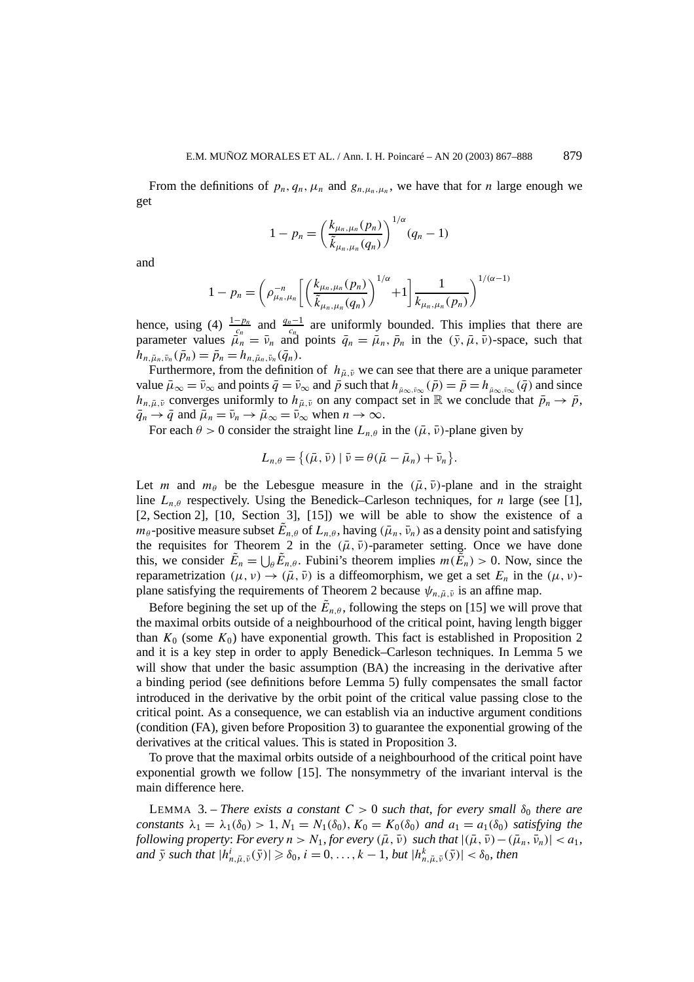From the definitions of  $p_n, q_n, \mu_n$  and  $g_{n,\mu_n,\mu_n}$ , we have that for *n* large enough we get

$$
1 - p_n = \left(\frac{k_{\mu_n, \mu_n}(p_n)}{\tilde{k}_{\mu_n, \mu_n}(q_n)}\right)^{1/\alpha} (q_n - 1)
$$

and

$$
1 - p_n = \left(\rho_{\mu_n, \mu_n}^{-n} \left[ \left( \frac{k_{\mu_n, \mu_n}(p_n)}{\tilde{k}_{\mu_n, \mu_n}(q_n)} \right)^{1/\alpha} + 1 \right] \frac{1}{k_{\mu_n, \mu_n}(p_n)} \right)^{1/(\alpha - 1)}
$$

hence, using (4)  $\frac{1-p_n}{c_n}$  and  $\frac{q_n-1}{c_n}$  are uniformly bounded. This implies that there are parameter values  $\bar{\mu}_n = \bar{\nu}_n$  and points  $\bar{q}_n = \bar{\mu}_n$ ,  $\bar{p}_n$  in the  $(\bar{y}, \bar{\mu}, \bar{\nu})$ -space, such that  $h_{n,\bar{\mu}_n,\bar{\nu}_n}(\bar{p}_n) = \bar{p}_n = h_{n,\bar{\mu}_n,\bar{\nu}_n}(\bar{q}_n).$ 

Furthermore, from the definition of  $h_{\bar{\mu},\bar{\nu}}$  we can see that there are a unique parameter value  $\bar{\mu}_{\infty} = \bar{\nu}_{\infty}$  and points  $\bar{q} = \bar{\nu}_{\infty}$  and  $\bar{p}$  such that  $h_{\bar{\mu}_{\infty},\bar{\nu}_{\infty}}(\bar{p}) = \bar{p} = h_{\bar{\mu}_{\infty},\bar{\nu}_{\infty}}(\bar{q})$  and since *h<sub>n,* $\bar{\mu}, \bar{\nu}$  converges uniformly to  $h_{\bar{\mu}, \bar{\nu}}$  on any compact set in R we conclude that  $\bar{p}_n \to \bar{p}$ ,</sub>  $\bar{q}_n \to \bar{q}$  and  $\bar{\mu}_n = \bar{\nu}_n \to \bar{\mu}_{\infty} = \bar{\nu}_{\infty}$  when  $n \to \infty$ .

For each  $\theta > 0$  consider the straight line  $L_{n,\theta}$  in the  $(\bar{\mu}, \bar{\nu})$ -plane given by

$$
L_{n,\theta} = \{(\bar{\mu}, \bar{\nu}) \mid \bar{\nu} = \theta(\bar{\mu} - \bar{\mu}_n) + \bar{\nu}_n\}.
$$

Let *m* and  $m_\theta$  be the Lebesgue measure in the  $(\bar{\mu}, \bar{\nu})$ -plane and in the straight line *Ln,θ* respectively. Using the Benedick–Carleson techniques, for *n* large (see [1], [2, Section 2], [10, Section 3], [15]) we will be able to show the existence of a *m*<sub>θ</sub> -positive measure subset  $\tilde{E}_{n,\theta}$  of  $L_{n,\theta}$ , having  $(\bar{\mu}_n, \bar{\nu}_n)$  as a density point and satisfying the requisites for Theorem 2 in the  $(\bar{\mu}, \bar{\nu})$ -parameter setting. Once we have done this, we consider  $\tilde{E}_n = \bigcup_{\theta} \tilde{E}_{n,\theta}$ . Fubini's theorem implies  $m(\tilde{E}_n) > 0$ . Now, since the reparametrization  $(\mu, \nu) \rightarrow (\bar{\mu}, \bar{\nu})$  is a diffeomorphism, we get a set  $E_n$  in the  $(\mu, \nu)$ plane satisfying the requirements of Theorem 2 because  $\psi_{n,\bar{\mu},\bar{\nu}}$  is an affine map.

Before begining the set up of the  $\tilde{E}_{n,\theta}$ , following the steps on [15] we will prove that the maximal orbits outside of a neighbourhood of the critical point, having length bigger than  $K_0$  (some  $K_0$ ) have exponential growth. This fact is established in Proposition 2 and it is a key step in order to apply Benedick–Carleson techniques. In Lemma 5 we will show that under the basic assumption  $(BA)$  the increasing in the derivative after a binding period (see definitions before Lemma 5) fully compensates the small factor introduced in the derivative by the orbit point of the critical value passing close to the critical point. As a consequence, we can establish via an inductive argument conditions (condition (FA), given before Proposition 3) to guarantee the exponential growing of the derivatives at the critical values. This is stated in Proposition 3.

To prove that the maximal orbits outside of a neighbourhood of the critical point have exponential growth we follow [15]. The nonsymmetry of the invariant interval is the main difference here.

LEMMA 3. – *There exists a constant*  $C > 0$  *such that, for every small*  $\delta_0$  *there are constants*  $\lambda_1 = \lambda_1(\delta_0) > 1, N_1 = N_1(\delta_0), K_0 = K_0(\delta_0)$  *and*  $a_1 = a_1(\delta_0)$  *satisfying the following property: For every*  $n > N_1$ , *for every*  $(\bar{\mu}, \bar{\nu})$  *such that*  $|(\bar{\mu}, \bar{\nu}) - (\bar{\mu}_n, \bar{\nu}_n)| < a_1$ , and  $\bar{y}$  such that  $|h_{n,\bar{\mu},\bar{\nu}}^i(\bar{y})|\geqslant \delta_0$ ,  $i=0,\ldots,k-1$ , but  $|h_{n,\bar{\mu},\bar{\nu}}^k(\bar{y})|<\delta_0$ , then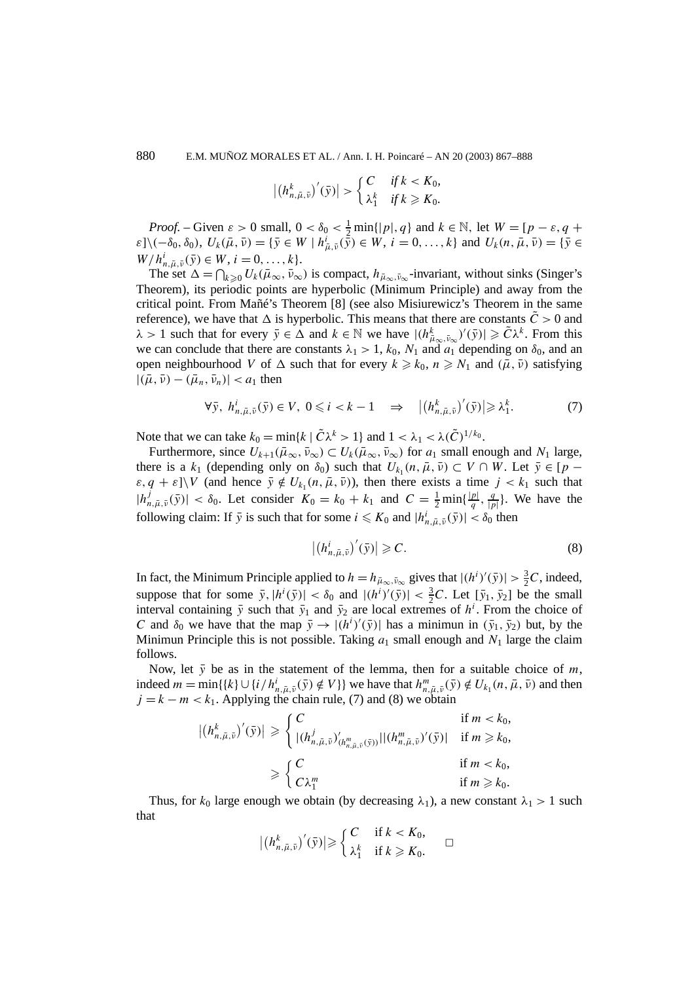880 E.M. MUÑOZ MORALES ET AL. / Ann. I. H. Poincaré – AN 20 (2003) 867–888

$$
\left| \left( h_{n,\bar{\mu},\bar{\nu}}^k \right)'(\bar{y}) \right| > \begin{cases} C & \text{if } k < K_0, \\ \lambda_1^k & \text{if } k \geqslant K_0. \end{cases}
$$

*Proof.* – Given  $\varepsilon > 0$  small,  $0 < \delta_0 < \frac{1}{2} \min\{|p|, q\}$  and  $k \in \mathbb{N}$ , let  $W = [p - \varepsilon, q + \frac{1}{2} \min\{|p|, q\}$  $\varepsilon$ ]\(- $\delta_0$ ,  $\delta_0$ ),  $U_k(\bar{\mu}, \bar{\nu}) = {\bar{y} \in W \mid h^i_{\bar{\mu}, \bar{\nu}}(\bar{\tilde{y}}) \in W, i = 0, ..., k}$  and  $U_k(n, \bar{\mu}, \bar{\nu}) = {\bar{y} \in W \mid h^i_{\bar{\mu}, \bar{\nu}}(\bar{\tilde{y}}) \in W}$  $W/h_{n,\bar{\mu},\bar{\nu}}^i(\bar{y}) \in W, i = 0, \ldots, k$ .

The set  $\Delta = \bigcap_{k \geq 0} U_k(\bar{\mu}_{\infty}, \bar{\nu}_{\infty})$  is compact,  $h_{\bar{\mu}_{\infty}, \bar{\nu}_{\infty}}$ -invariant, without sinks (Singer's Theorem), its periodic points are hyperbolic (Minimum Principle) and away from the critical point. From Mañé's Theorem [8] (see also Misiurewicz's Theorem in the same reference), we have that  $\Delta$  is hyperbolic. This means that there are constants  $\tilde{C} > 0$  and  $\lambda > 1$  such that for every  $\bar{y} \in \Delta$  and  $k \in \mathbb{N}$  we have  $|(h_{\bar{\mu}_{\infty}, \bar{\nu}_{\infty}}^k)'(\bar{y})| \geq \tilde{C} \lambda^k$ . From this we can conclude that there are constants  $\lambda_1 > 1$ ,  $k_0$ ,  $N_1$  and  $a_1$  depending on  $\delta_0$ , and an open neighbourhood *V* of  $\Delta$  such that for every  $k \ge k_0$ ,  $n \ge N_1$  and  $(\bar{\mu}, \bar{\nu})$  satisfying  $|(\bar{\mu}, \bar{\nu}) - (\bar{\mu}_n, \bar{\nu}_n)| < a_1$  then

$$
\forall \bar{y}, \ h_{n,\bar{\mu},\bar{\nu}}^i(\bar{y}) \in V, \ 0 \leq i < k - 1 \quad \Rightarrow \quad \left| \left( h_{n,\bar{\mu},\bar{\nu}}^k \right)'(\bar{y}) \right| \geq \lambda_1^k. \tag{7}
$$

Note that we can take  $k_0 = \min\{k \mid \tilde{C} \lambda^k > 1\}$  and  $1 < \lambda_1 < \lambda(\tilde{C})^{1/k_0}$ .

Furthermore, since  $U_{k+1}(\bar{\mu}_{\infty}, \bar{\nu}_{\infty}) \subset U_k(\bar{\mu}_{\infty}, \bar{\nu}_{\infty})$  for  $a_1$  small enough and  $N_1$  large, there is a  $k_1$  (depending only on  $\delta_0$ ) such that  $U_{k_1}(n, \bar{\mu}, \bar{\nu}) \subset V \cap W$ . Let  $\bar{y} \in [p - \bar{\nu}]$  $\varepsilon, q + \varepsilon$ ]\*V* (and hence  $\bar{y} \notin U_{k_1}(n, \bar{\mu}, \bar{\nu})$ ), then there exists a time  $j < k_1$  such that  $|h_{n,\bar{\mu},\bar{\nu}}^j(\bar{y})| < \delta_0$ . Let consider  $K_0 = k_0 + k_1$  and  $C = \frac{1}{2} \min\{\frac{|p|}{q}, \frac{q}{|p|}\}\)$ . We have the following claim: If  $\bar{y}$  is such that for some  $i \leq K_0$  and  $|h_{n,\bar{\mu},\bar{\nu}}^i(\bar{y})| < \delta_0$  then

$$
\left| \left( h_{n,\bar{\mu},\bar{\nu}}^{i} \right)'(\bar{y}) \right| \geqslant C. \tag{8}
$$

In fact, the Minimum Principle applied to  $h = h_{\bar{\mu}_{\infty}, \bar{\nu}_{\infty}}$  gives that  $|(h^i)'(\bar{y})| > \frac{3}{2}C$ , indeed, suppose that for some  $\bar{y}$ ,  $|h^{i}(\bar{y})| < \delta_0$  and  $|(h^{i})'(\bar{y})| < \frac{3}{2}C$ . Let  $[\bar{y}_1, \bar{y}_2]$  be the small interval containing  $\bar{y}$  such that  $\bar{y}_1$  and  $\bar{y}_2$  are local extremes of  $h^i$ . From the choice of *C* and  $\delta_0$  we have that the map  $\bar{y} \to |(h^i)'(\bar{y})|$  has a minimun in  $(\bar{y}_1, \bar{y}_2)$  but, by the Minimun Principle this is not possible. Taking  $a_1$  small enough and  $N_1$  large the claim follows.

Now, let  $\bar{y}$  be as in the statement of the lemma, then for a suitable choice of *m*, indeed  $m = \min\{\{k\} \cup \{i/h_{n,\bar{\mu},\bar{\nu}}^i(\bar{y}) \notin V\}\}$  we have that  $h_{n,\bar{\mu},\bar{\nu}}^m(\bar{y}) \notin U_{k_1}(n, \bar{\mu}, \bar{\nu})$  and then  $j = k - m < k_1$ . Applying the chain rule, (7) and (8) we obtain

$$
\left| (h_{n,\bar{\mu},\bar{\nu}}^k)'(\bar{y}) \right| \geq \begin{cases} C & \text{if } m < k_0, \\ |(h_{n,\bar{\mu},\bar{\nu}}^j)'_{(h_{n,\bar{\mu},\bar{\nu}}^m(\bar{y}))}||(h_{n,\bar{\mu},\bar{\nu}}^m)'(\bar{y})| & \text{if } m \geq k_0, \\ C\lambda_1^m & \text{if } m < k_0, \\ C\lambda_1^m & \text{if } m \geq k_0. \end{cases}
$$

Thus, for  $k_0$  large enough we obtain (by decreasing  $\lambda_1$ ), a new constant  $\lambda_1 > 1$  such that

$$
|(h_{n,\bar{\mu},\bar{\nu}}^k)'(\bar{y})| \geqslant \begin{cases} C & \text{if } k < K_0, \\ \lambda_1^k & \text{if } k \geqslant K_0. \end{cases} \square
$$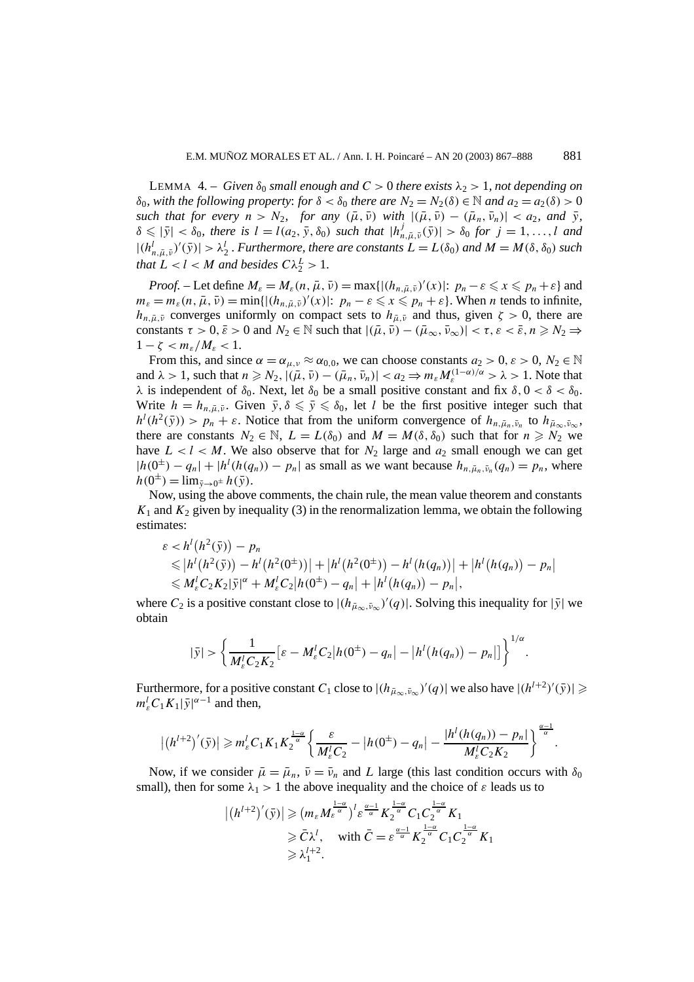LEMMA 4. – *Given*  $δ_0$  *small enough and*  $C > 0$  *there exists*  $λ_2 > 1$ *, not depending on δ*<sub>0</sub>*, with the following property: for*  $δ < δ$ <sub>0</sub> *there are*  $N_2 = N_2(δ) ∈ ℕ$  *and*  $a_2 = a_2(δ) > 0$ *such that for every*  $n > N_2$ , *for any*  $(\bar{\mu}, \bar{\nu})$  *with*  $|(\bar{\mu}, \bar{\nu}) - (\bar{\mu}_n, \bar{\nu}_n)| < a_2$ , and  $\bar{\nu}$ ,  $\delta \leqslant |\bar{y}| < \delta_0$ , there is  $l = l(a_2, \bar{y}, \delta_0)$  such that  $|h_{n,\bar{\mu},\bar{v}}^j(\bar{y})| > \delta_0$  for  $j = 1, ..., l$  and  $|(h_{n,\bar{\mu},\bar{\nu}}^l)'(\bar{y})| > \lambda_2^l$ . Furthermore, there are constants  $L = L(\delta_0)$  and  $M = M(\delta, \delta_0)$  such *that*  $L < l < M$  *and besides*  $C\lambda_2^L > 1$ *.* 

*Proof.* – Let define  $M_{\varepsilon} = M_{\varepsilon}(n, \bar{\mu}, \bar{\nu}) = \max\{|(h_{n, \bar{\mu}, \bar{\nu}})'(x)|: p_n - \varepsilon \leq x \leq p_n + \varepsilon\}$  and  $m_{\varepsilon} = m_{\varepsilon}(n, \bar{\mu}, \bar{\nu}) = \min\{[(h_{n, \bar{\mu}, \bar{\nu}})'(x)|: p_n - \varepsilon \leqslant x \leqslant p_n + \varepsilon\}.$  When *n* tends to infinite, *h<sub>n,* $\bar{\mu}$ , $\bar{\nu}$  converges uniformly on compact sets to  $h_{\bar{\mu},\bar{\nu}}$  and thus, given  $\zeta > 0$ , there are</sub> constants  $\tau > 0$ ,  $\bar{\varepsilon} > 0$  and  $N_2 \in \mathbb{N}$  such that  $|(\bar{\mu}, \bar{\nu}) - (\bar{\mu}_{\infty}, \bar{\nu}_{\infty})| < \tau$ ,  $\varepsilon < \bar{\varepsilon}$ ,  $n \ge N_2 \Rightarrow$  $1-\zeta < m_{\varepsilon}/M_{\varepsilon} < 1.$ 

From this, and since  $\alpha = \alpha_{\mu,\nu} \approx \alpha_{0,0}$ , we can choose constants  $a_2 > 0$ ,  $\varepsilon > 0$ ,  $N_2 \in \mathbb{N}$ and  $\lambda > 1$ , such that  $n \geq N_2$ ,  $|(\bar{\mu}, \bar{\nu}) - (\bar{\mu}_n, \bar{\nu}_n)| < a_2 \Rightarrow m_{\varepsilon} M_{\varepsilon}^{(1-\alpha)/\alpha} > \lambda > 1$ . Note that *λ* is independent of *δ*<sub>0</sub>. Next, let *δ*<sub>0</sub> be a small positive constant and fix *δ*,  $0 < δ < δ_0$ . Write  $h = h_{n,\bar{\mu},\bar{\nu}}$ . Given  $\bar{y}, \delta \leq \bar{y} \leq \delta_0$ , let *l* be the first positive integer such that  $h^l(h^2(\bar{y})) > p_n + \varepsilon$ . Notice that from the uniform convergence of  $h_{n,\bar{\mu}_n,\bar{\nu}_n}$  to  $h_{\bar{\mu}_\infty,\bar{\nu}_\infty}$ , there are constants  $N_2 \in \mathbb{N}$ ,  $L = L(\delta_0)$  and  $M = M(\delta, \delta_0)$  such that for  $n \ge N_2$  we have  $L < l < M$ . We also observe that for  $N_2$  large and  $a_2$  small enough we can get  $|h(0^{\pm}) - q_n| + |h^l(h(q_n)) - p_n|$  as small as we want because  $h_{n, \bar{\mu}_n, \bar{\nu}_n}(q_n) = p_n$ , where  $h(0^{\pm}) = \lim_{\bar{v} \to 0^{\pm}} h(\bar{v}).$ 

Now, using the above comments, the chain rule, the mean value theorem and constants  $K_1$  and  $K_2$  given by inequality (3) in the renormalization lemma, we obtain the following estimates:

$$
\varepsilon < h^l(h^2(\bar{y})) - p_n
$$
\n
$$
\leqslant |h^l(h^2(\bar{y})) - h^l(h^2(0^{\pm}))| + |h^l(h^2(0^{\pm})) - h^l(h(q_n))| + |h^l(h(q_n)) - p_n|
$$
\n
$$
\leqslant M_{\varepsilon}^l C_2 K_2 |\bar{y}|^{\alpha} + M_{\varepsilon}^l C_2 |h(0^{\pm}) - q_n| + |h^l(h(q_n)) - p_n|,
$$

where  $C_2$  is a positive constant close to  $|(h_{\mu_\infty,\bar{\nu}_\infty})'(q)|$ . Solving this inequality for  $|\bar{y}|$  we obtain

$$
|\bar{y}| > \left\{ \frac{1}{M_{\varepsilon}^l C_2 K_2} \left[ \varepsilon - M_{\varepsilon}^l C_2 | h(0^{\pm}) - q_n| - |h^l(h(q_n)) - p_n| \right] \right\}^{1/\alpha}.
$$

Furthermore, for a positive constant  $C_1$  close to  $|(h_{\bar{\mu}_{\infty},\bar{\nu}_{\infty}})'(q)|$  we also have  $|(h^{l+2})'(\bar{y})| \geq$  $m_{\varepsilon}^l C_1 K_1 |\bar{y}|^{\alpha-1}$  and then,

$$
|(h^{l+2})'(\bar{y})| \geq m_{\varepsilon}^l C_1 K_1 K_2^{\frac{1-\alpha}{\alpha}} \left\{ \frac{\varepsilon}{M_{\varepsilon}^l C_2} - |h(0^{\pm}) - q_n| - \frac{|h^l (h(q_n)) - p_n|}{M_{\varepsilon}^l C_2 K_2} \right\}^{\frac{\alpha-1}{\alpha}}.
$$

Now, if we consider  $\bar{\mu} = \bar{\mu}_n$ ,  $\bar{\nu} = \bar{\nu}_n$  and *L* large (this last condition occurs with  $\delta_0$ small), then for some  $\lambda_1 > 1$  the above inequality and the choice of  $\varepsilon$  leads us to

$$
\begin{aligned} \left| \left( h^{l+2} \right)'(\bar{y}) \right| &\geq \left( m_{\varepsilon} M_{\varepsilon}^{\frac{1-\alpha}{\alpha}} \right)^l \varepsilon^{\frac{\alpha-1}{\alpha}} K_2^{\frac{1-\alpha}{\alpha}} C_1 C_2^{\frac{1-\alpha}{\alpha}} K_1 \\ &\geq \bar{C} \lambda^l, \quad \text{with } \bar{C} = \varepsilon^{\frac{\alpha-1}{\alpha}} K_2^{\frac{1-\alpha}{\alpha}} C_1 C_2^{\frac{1-\alpha}{\alpha}} K_1 \\ &\geq \lambda_1^{l+2}. \end{aligned}
$$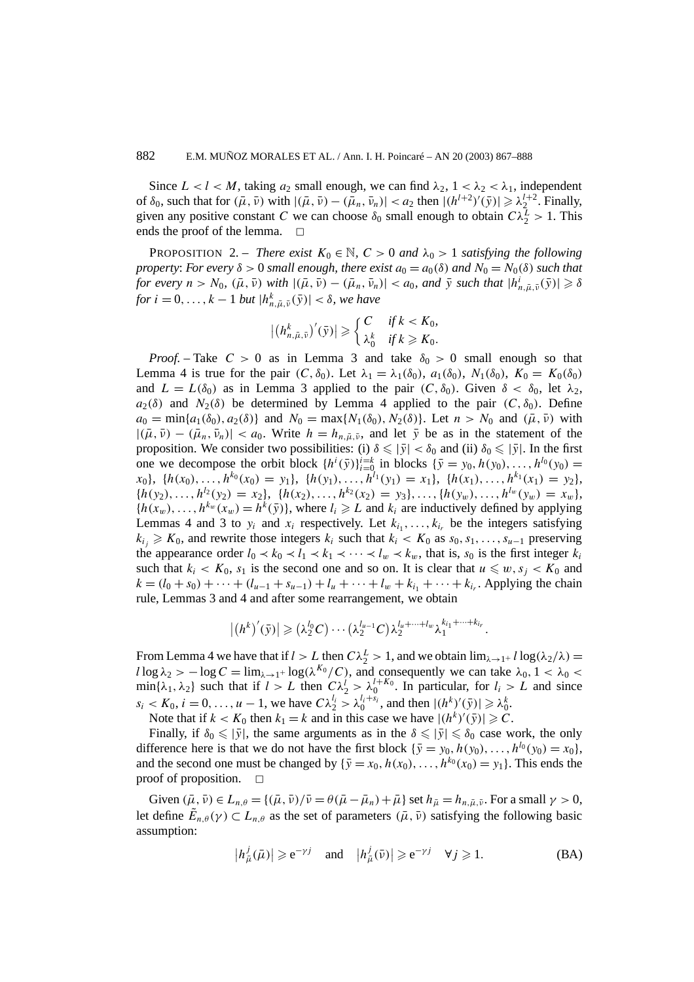Since  $L < l < M$ , taking  $a_2$  small enough, we can find  $\lambda_2$ ,  $1 < \lambda_2 < \lambda_1$ , independent of  $\delta_0$ , such that for  $(\bar{\mu}, \bar{\nu})$  with  $|(\bar{\mu}, \bar{\nu}) - (\bar{\mu}_n, \bar{\nu}_n)| < a_2$  then  $|({h}^{l+2})'(\bar{y})| \geq \lambda_2^{l+2}$ . Finally, given any positive constant *C* we can choose  $\delta_0$  small enough to obtain  $C\lambda_2^L > 1$ . This ends the proof of the lemma.  $\Box$ 

**PROPOSITION** 2. – *There exist*  $K_0 \in \mathbb{N}$ ,  $C > 0$  *and*  $\lambda_0 > 1$  *satisfying the following property: For every*  $\delta > 0$  *small enough, there exist*  $a_0 = a_0(\delta)$  *and*  $N_0 = N_0(\delta)$  *such that* for every  $n > N_0$ ,  $(\bar{\mu}, \bar{\nu})$  with  $|(\bar{\mu}, \bar{\nu}) - (\bar{\mu}_n, \bar{\nu}_n)| < a_0$ , and  $\bar{y}$  such that  $|h_{n, \bar{\mu}, \bar{\nu}}^i(\bar{y})| \geq \delta$ *for*  $i = 0, \ldots, k - 1$  *but*  $|h_{n, \bar{\mu}, \bar{\nu}}^k(\bar{y})| < \delta$ , we have

$$
\left| \left( h_{n,\bar{\mu},\bar{\nu}}^k \right)'(\bar{y}) \right| \geqslant \begin{cases} C & \text{if } k < K_0, \\ \lambda_0^k & \text{if } k \geqslant K_0. \end{cases}
$$

*Proof.* – Take  $C > 0$  as in Lemma 3 and take  $\delta_0 > 0$  small enough so that Lemma 4 is true for the pair  $(C, \delta_0)$ . Let  $\lambda_1 = \lambda_1(\delta_0)$ ,  $a_1(\delta_0)$ ,  $N_1(\delta_0)$ ,  $K_0 = K_0(\delta_0)$ and  $L = L(\delta_0)$  as in Lemma 3 applied to the pair  $(C, \delta_0)$ . Given  $\delta < \delta_0$ , let  $\lambda_2$ ,  $a_2(\delta)$  and  $N_2(\delta)$  be determined by Lemma 4 applied to the pair  $(C, \delta_0)$ . Define  $a_0 = \min\{a_1(\delta_0), a_2(\delta)\}\$  and  $N_0 = \max\{N_1(\delta_0), N_2(\delta)\}\$ . Let  $n > N_0$  and  $(\bar{\mu}, \bar{\nu})$  with  $|(\bar{\mu}, \bar{v}) - (\bar{\mu}_n, \bar{v}_n)| < a_0$ . Write  $h = h_{n, \bar{\mu}, \bar{v}}$ , and let  $\bar{y}$  be as in the statement of the proposition. We consider two possibilities: (i)  $\delta \leq |\bar{y}| < \delta_0$  and (ii)  $\delta_0 \leq |\bar{y}|$ . In the first one we decompose the orbit block  $\{h^i(\bar{y})\}_{i=0}^{i=k}$  in blocks  $\{\bar{y} = y_0, h(y_0), \ldots, h^{l_0}(y_0) =$  $x_0$ , { $h(x_0),..., h^{k_0}(x_0) = y_1$ }, { $h(y_1),..., h^{l_1}(y_1) = x_1$ }, { $h(x_1),..., h^{k_1}(x_1) = y_2$ },  ${h(y_2), \ldots, h^{l_2}(y_2) = x_2}, \ {h(x_2), \ldots, h^{k_2}(x_2) = y_3}, \ldots, {h(y_w), \ldots, h^{l_w}(y_w) = x_w},$  ${h(x_w), \ldots, h^{k_w}(x_w) = h^k(\bar{y})}$ , where  $l_i \geq L$  and  $k_i$  are inductively defined by applying Lemmas 4 and 3 to  $y_i$  and  $x_i$  respectively. Let  $k_{i_1}, \ldots, k_{i_r}$  be the integers satisfying  $k_{i_j} \geq K_0$ , and rewrite those integers  $k_i$  such that  $k_i < K_0$  as  $s_0, s_1, \ldots, s_{u-1}$  preserving the appearance order  $l_0 \lt k_0 \lt l_1 \lt k_1 \lt \cdots \lt l_w \lt k_w$ , that is,  $s_0$  is the first integer  $k_i$ such that  $k_i < K_0$ ,  $s_1$  is the second one and so on. It is clear that  $u \leqslant w$ ,  $s_i < K_0$  and  $k = (l_0 + s_0) + \cdots + (l_{u-1} + s_{u-1}) + l_u + \cdots + l_w + k_{i_1} + \cdots + k_{i_r}$ . Applying the chain rule, Lemmas 3 and 4 and after some rearrangement, we obtain

$$
|(h^k)'(\bar{y})| \geqslant (\lambda_2^{l_0}C) \cdots (\lambda_2^{l_{u-1}}C)\lambda_2^{l_u+\cdots+l_w}\lambda_1^{k_{i_1}+\cdots+k_{i_r}}.
$$

From Lemma 4 we have that if  $l > L$  then  $C\lambda_2^L > 1$ , and we obtain  $\lim_{\lambda \to 1^+} l \log(\lambda_2/\lambda) =$  $l \log \lambda_2$  >  $- \log C = \lim_{\lambda \to 1^+} \log(\lambda^{K_0}/C)$ , and consequently we can take  $\lambda_0$ ,  $1 < \lambda_0$  < min{ $\lambda_1, \lambda_2$ } such that if  $l > L$  then  $C\lambda_2^l > \lambda_0^{l+K_0}$ . In particular, for  $l_i > L$  and since  $s_i < K_0, i = 0, \ldots, u - 1$ , we have  $C\lambda_2^{l_i} > \lambda_0^{l_i + s_i}$ , and then  $|(h^k)'(\bar{y})| \geq \lambda_0^k$ .

Note that if  $k < K_0$  then  $k_1 = k$  and in this case we have  $|(h^k)'(\bar{y})| \geq c$ .

Finally, if  $\delta_0 \leq |\bar{y}|$ , the same arguments as in the  $\delta \leq |\bar{y}| \leq \delta_0$  case work, the only difference here is that we do not have the first block  $\{\bar{y} = y_0, h(y_0), \ldots, h^{l_0}(y_0) = x_0\},\$ and the second one must be changed by  $\{\bar{y} = x_0, h(x_0), \ldots, h^{k_0}(x_0) = y_1\}$ . This ends the proof of proposition.  $\square$ 

Given  $(\bar{\mu}, \bar{\nu}) \in L_{n,\theta} = \{(\bar{\mu}, \bar{\nu})/\bar{\nu} = \theta(\bar{\mu} - \bar{\mu}_n) + \bar{\mu}\}$  set  $h_{\bar{\mu}} = h_{n,\bar{\mu},\bar{\nu}}$ . For a small  $\gamma > 0$ , let define  $\tilde{E}_{n,\theta}(\gamma) \subset L_{n,\theta}$  as the set of parameters  $(\bar{\mu},\bar{\nu})$  satisfying the following basic assumption:

$$
|h_{\bar{\mu}}^{j}(\bar{\mu})| \ge e^{-\gamma j} \quad \text{and} \quad |h_{\bar{\mu}}^{j}(\bar{\nu})| \ge e^{-\gamma j} \quad \forall j \ge 1. \tag{BA}
$$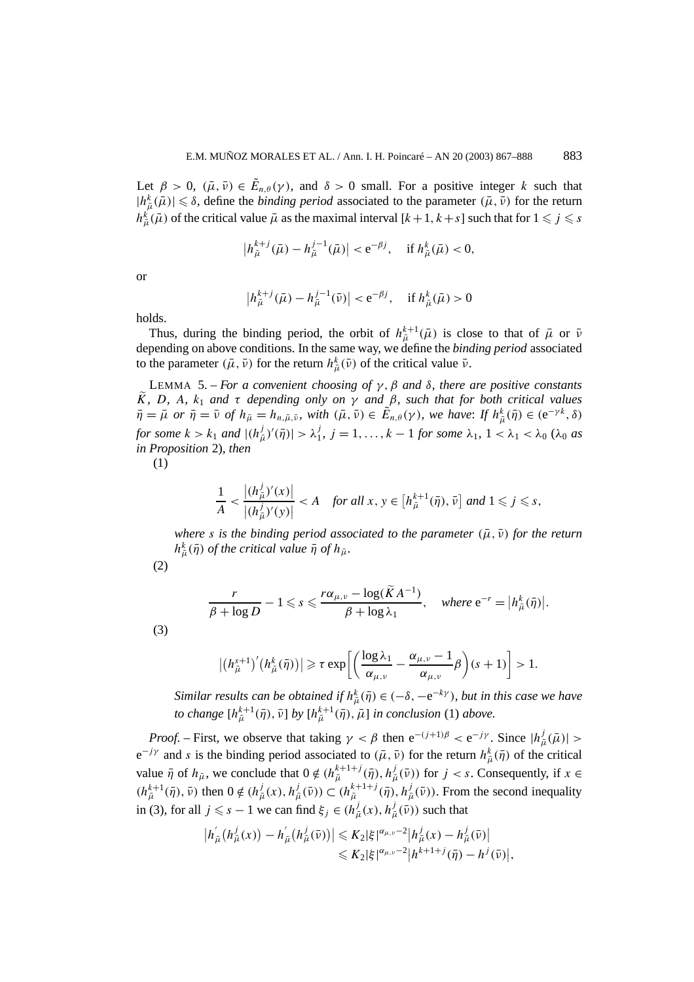Let  $\beta > 0$ ,  $(\bar{\mu}, \bar{\nu}) \in \tilde{E}_{n,\theta}(\gamma)$ , and  $\delta > 0$  small. For a positive integer *k* such that  $|h^k_{\bar{\mu}}(\bar{\mu})| \leq \delta$ , define the *binding period* associated to the parameter  $(\bar{\mu}, \bar{\nu})$  for the return  $h^k_{\bar{\mu}}(\bar{\mu})$  of the critical value  $\bar{\mu}$  as the maximal interval  $[k+1, k+s]$  such that for  $1 \leqslant j \leqslant s$ 

$$
\left| h_{\bar{\mu}}^{k+j}(\bar{\mu}) - h_{\bar{\mu}}^{j-1}(\bar{\mu}) \right| < e^{-\beta j}, \quad \text{if } h_{\bar{\mu}}^k(\bar{\mu}) < 0,
$$

or

$$
|h_{\bar{\mu}}^{k+j}(\bar{\mu}) - h_{\bar{\mu}}^{j-1}(\bar{\nu})| < e^{-\beta j}, \text{ if } h_{\bar{\mu}}^{k}(\bar{\mu}) > 0
$$

holds.

Thus, during the binding period, the orbit of  $h_{\bar{\mu}}^{k+1}(\bar{\mu})$  is close to that of  $\bar{\mu}$  or  $\bar{\nu}$ depending on above conditions. In the same way, we define the *binding period* associated to the parameter  $(\bar{\mu}, \bar{\nu})$  for the return  $h^k_{\bar{\mu}}(\bar{\nu})$  of the critical value  $\bar{\nu}$ .

LEMMA 5. – *For a convenient choosing of γ,β and δ, there are positive constants K, D, A, k*<sup>1</sup> *and τ depending only on γ and β, such that for both critical values*  $\overline{\eta} = \overline{\mu}$  or  $\overline{\eta} = \overline{\nu}$  of  $h_{\overline{\mu}} = h_{n,\overline{\mu},\overline{\nu}}$ , with  $(\overline{\mu}, \overline{\nu}) \in \widetilde{E}_{n,\theta}(\gamma)$ , we have: If  $h_{\overline{\mu}}^k(\overline{\eta}) \in (e^{-\gamma k}, \delta)$ for some  $k > k_1$  and  $|(h_{\bar{\mu}}^j)'(\bar{\eta})| > \lambda_1^j$ ,  $j = 1, ..., k-1$  for some  $\lambda_1$ ,  $1 < \lambda_1 < \lambda_0$  ( $\lambda_0$  as *in Proposition* 2)*, then*

(1)

$$
\frac{1}{A} < \frac{|(h_{\tilde{\mu}}^j)'(x)|}{|(h_{\tilde{\mu}}^j)'(y)|} < A \quad \text{for all } x, y \in \left[h_{\tilde{\mu}}^{k+1}(\bar{\eta}), \bar{\nu}\right] \text{ and } 1 \leqslant j \leqslant s,
$$

*where s is the binding period associated to the parameter* ( $\bar{\mu}$ ,  $\bar{\nu}$ ) *for the return*  $h^k_{\bar{\mu}}(\bar{\eta})$  *of the critical value*  $\bar{\eta}$  *of*  $h_{\bar{\mu}}$ *.* 

(2)

$$
\frac{r}{\beta + \log D} - 1 \leqslant s \leqslant \frac{r\alpha_{\mu,\nu} - \log(\widetilde{K}A^{-1})}{\beta + \log \lambda_1}, \quad \text{where } e^{-r} = \big| h_{\bar{\mu}}^k(\bar{\eta}) \big|.
$$

(3)

$$
\left|\left(h_{\bar{\mu}}^{s+1}\right)'\left(h_{\bar{\mu}}^k(\bar{\eta})\right)\right|\geqslant \tau \exp\left[\left(\frac{\log \lambda_1}{\alpha_{\mu,\nu}}-\frac{\alpha_{\mu,\nu}-1}{\alpha_{\mu,\nu}}\beta\right)(s+1)\right]>1.
$$

*Similar results can be obtained if*  $h^k_{\bar{\mu}}(\bar{\eta}) \in (-\delta, -e^{-k\gamma})$ *, but in this case we have to change*  $[h_{\bar{\mu}}^{k+1}(\bar{\eta}), \bar{\nu}]$  *by*  $[h_{\bar{\mu}}^{k+1}(\bar{\eta}), \bar{\mu}]$  *in conclusion* (1) *above.* 

*Proof.* – First, we observe that taking  $\gamma < \beta$  then  $e^{-(j+1)\beta} < e^{-j\gamma}$ . Since  $|h^j_{\overline{\mu}}(\overline{\mu})| >$  $e^{-j\gamma}$  and *s* is the binding period associated to  $(\bar{\mu}, \bar{\nu})$  for the return  $h^k_{\bar{\mu}}(\bar{\eta})$  of the critical value  $\bar{\eta}$  of  $h_{\bar{\mu}}$ , we conclude that  $0 \notin (h_{\bar{\mu}}^{k+1+j}(\bar{\eta}), h_{\bar{\mu}}^{j}(\bar{\nu}))$  for  $j < s$ . Consequently, if  $x \in$  $(h_{\bar{\mu}}^{k+1}(\bar{\eta}), \bar{\nu})$  then  $0 \notin (h_{\bar{\mu}}^{j}(x), h_{\bar{\mu}}^{j}(\bar{\nu})) \subset (h_{\bar{\mu}}^{k+1+j}(\bar{\eta}), h_{\bar{\mu}}^{j}(\bar{\nu}))$ . From the second inequality in (3), for all  $j \leq s - 1$  we can find  $\xi_j \in (h^j_{\overline{\mu}}(x), h^j_{\overline{\mu}}(\overline{\nu}))$  such that

$$
|h_{\bar{\mu}}^{'}(h_{\bar{\mu}}^{j}(x)) - h_{\bar{\mu}}^{'}(h_{\bar{\mu}}^{j}(\bar{\nu}))| \leq K_{2} |\xi|^{\alpha_{\mu,\nu}-2} |h_{\bar{\mu}}^{j}(x) - h_{\bar{\mu}}^{j}(\bar{\nu})|
$$
  

$$
\leq K_{2} |\xi|^{\alpha_{\mu,\nu}-2} |h^{k+1+j}(\bar{\eta}) - h^{j}(\bar{\nu})|,
$$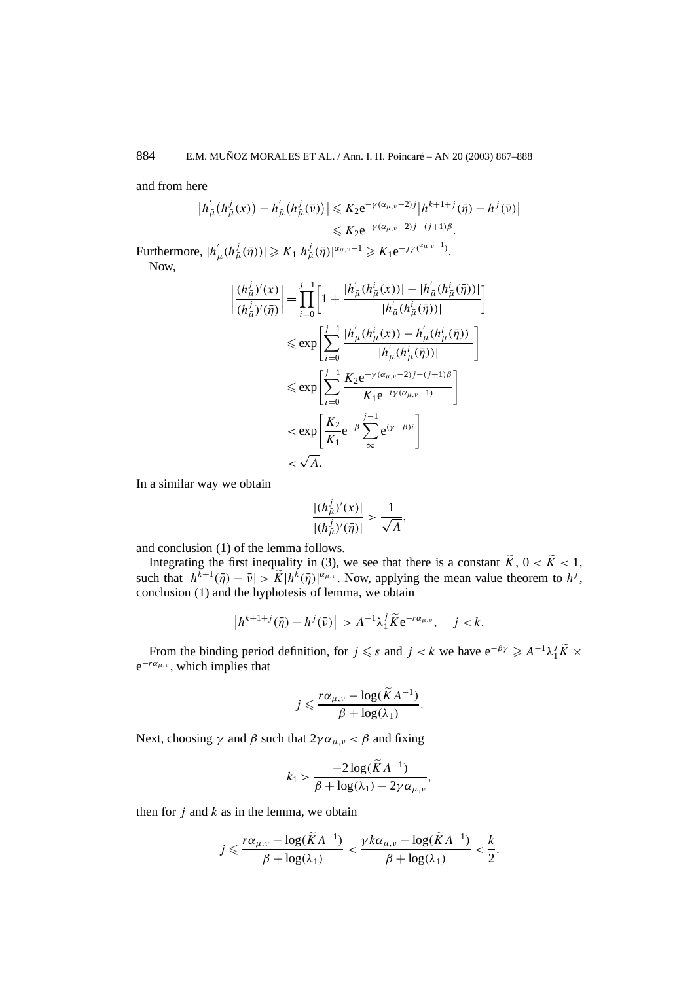and from here

$$
|h_{\bar{\mu}}^{'}(h_{\bar{\mu}}^{j}(x)) - h_{\bar{\mu}}^{'}(h_{\bar{\mu}}^{j}(\bar{\nu}))| \leq K_{2}e^{-\gamma(\alpha_{\mu,\nu}-2)j}|h^{k+1+j}(\bar{\eta}) - h^{j}(\bar{\nu})|
$$
  

$$
\leq K_{2}e^{-\gamma(\alpha_{\mu,\nu}-2)j-(j+1)\beta}.
$$

 $\text{Furthermore, } |h'_{\bar{\mu}}(h^j_{\bar{\mu}}(\bar{\eta}))| \geqslant K_1|h^j_{\bar{\mu}}(\bar{\eta})|^{\alpha_{\mu,\nu}-1} \geqslant K_1 e^{-j\gamma(\alpha_{\mu,\nu}-1)}.$ Now,

$$
\left| \frac{(h_{\bar{\mu}}^{j})'(x)}{(h_{\bar{\mu}}^{j})'(\bar{\eta})} \right| = \prod_{i=0}^{j-1} \left[ 1 + \frac{|h_{\bar{\mu}}^{'}(h_{\bar{\mu}}^{i}(x))| - |h_{\bar{\mu}}^{'}(h_{\bar{\mu}}^{i}(\bar{\eta}))|}{|h_{\bar{\mu}}^{'}(h_{\bar{\mu}}^{i}(\bar{\eta}))|} \right]
$$
  

$$
\leq \exp \left[ \sum_{i=0}^{j-1} \frac{|h_{\bar{\mu}}^{'}(h_{\bar{\mu}}^{i}(x)) - h_{\bar{\mu}}^{'}(h_{\bar{\mu}}^{i}(\bar{\eta}))|}{|h_{\bar{\mu}}^{'}(h_{\bar{\mu}}^{i}(\bar{\eta}))|} \right]
$$
  

$$
\leq \exp \left[ \sum_{i=0}^{j-1} \frac{K_{2}e^{-\gamma(\alpha_{\mu,\nu}-2)j-(j+1)\beta}}{K_{1}e^{-i\gamma(\alpha_{\mu,\nu}-1)}} \right]
$$
  

$$
< \exp \left[ \frac{K_{2}}{K_{1}}e^{-\beta} \sum_{\infty}^{j-1} e^{(\gamma-\beta)i} \right]
$$
  

$$
< \sqrt{A}.
$$

In a similar way we obtain

$$
\frac{|(h_{\bar{\mu}}^j)'(x)|}{|(h_{\bar{\mu}}^j)'(\bar{\eta})|} > \frac{1}{\sqrt{A}},
$$

and conclusion (1) of the lemma follows.

Integrating the first inequality in (3), we see that there is a constant  $\tilde{K}$ ,  $0 < \tilde{K} < 1$ , such that  $|h^{k+1}(\bar{\eta}) - \bar{\nu}| > \widetilde{K}|h^{k}(\bar{\eta})|^{\alpha_{\mu,\nu}}$ . Now, applying the mean value theorem to  $h^{j}$ , conclusion (1) and the hyphotesis of lemma, we obtain

$$
\left|h^{k+1+j}(\bar{\eta})-h^j(\bar{\nu})\right|>A^{-1}\lambda_1^j\widetilde{K}e^{-r\alpha_{\mu,\nu}},\quad j
$$

From the binding period definition, for  $j \le s$  and  $j < k$  we have  $e^{-\beta \gamma} \ge A^{-1} \lambda_1^j \tilde{K} \times$ e<sup>−</sup>*rαµ,ν* , which implies that

$$
j \leqslant \frac{r\alpha_{\mu,\nu} - \log(\widetilde{K}A^{-1})}{\beta + \log(\lambda_1)}.
$$

Next, choosing  $\gamma$  and  $\beta$  such that  $2\gamma \alpha_{\mu,\nu} < \beta$  and fixing

$$
k_1 > \frac{-2\log(\widetilde{K}A^{-1})}{\beta + \log(\lambda_1) - 2\gamma\alpha_{\mu,\nu}},
$$

then for *j* and *k* as in the lemma, we obtain

$$
j \leqslant \frac{r\alpha_{\mu,\nu} - \log(\widetilde{K}A^{-1})}{\beta + \log(\lambda_1)} < \frac{\gamma k\alpha_{\mu,\nu} - \log(\widetilde{K}A^{-1})}{\beta + \log(\lambda_1)} < \frac{k}{2}.
$$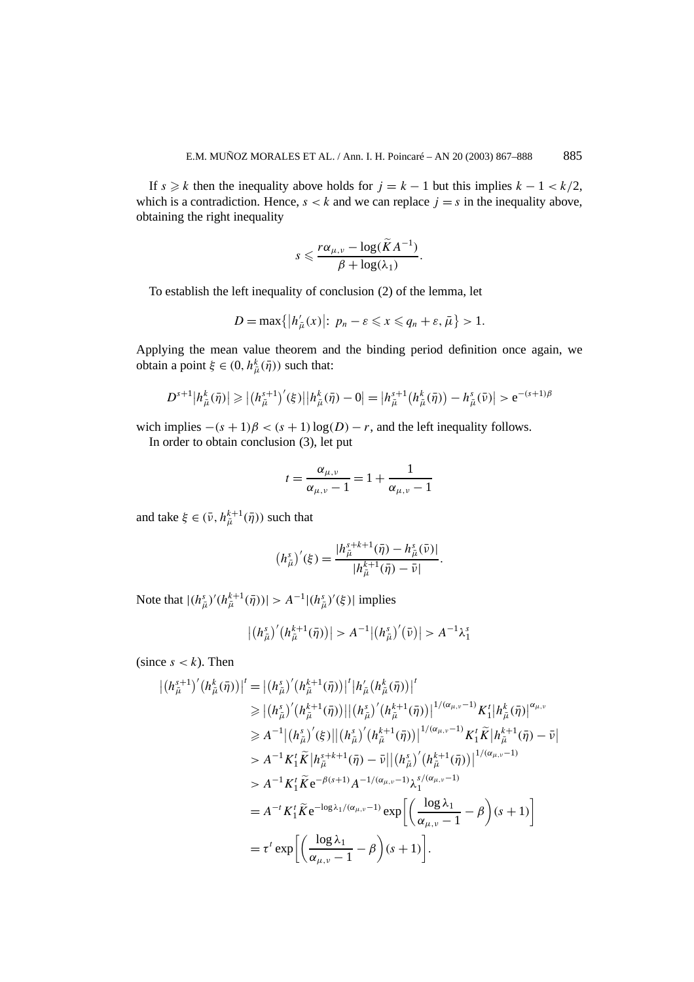If  $s \ge k$  then the inequality above holds for  $j = k - 1$  but this implies  $k - 1 < k/2$ , which is a contradiction. Hence,  $s < k$  and we can replace  $j = s$  in the inequality above, obtaining the right inequality

$$
s \leqslant \frac{r\alpha_{\mu,\nu} - \log(\widetilde{K}A^{-1})}{\beta + \log(\lambda_1)}.
$$

To establish the left inequality of conclusion (2) of the lemma, let

$$
D=\max\{|h'_{\bar{\mu}}(x)|\colon p_n-\varepsilon\leqslant x\leqslant q_n+\varepsilon,\bar{\mu}\}>1.
$$

Applying the mean value theorem and the binding period definition once again, we obtain a point  $\xi \in (0, h^k_{\bar{\mu}}(\bar{\eta}))$  such that:

$$
D^{s+1}|h_{\bar{\mu}}^k(\bar{\eta})| \geqslant |(h_{\bar{\mu}}^{s+1})'(\xi)||h_{\bar{\mu}}^k(\bar{\eta})-0| = |h_{\bar{\mu}}^{s+1}(h_{\bar{\mu}}^k(\bar{\eta})) - h_{\bar{\mu}}^s(\bar{\nu})| > e^{-(s+1)\beta}
$$

wich implies  $-(s + 1)\beta < (s + 1)\log(D) - r$ , and the left inequality follows.

In order to obtain conclusion (3), let put

$$
t = \frac{\alpha_{\mu,\nu}}{\alpha_{\mu,\nu} - 1} = 1 + \frac{1}{\alpha_{\mu,\nu} - 1}
$$

and take  $\xi \in (\bar{\nu}, h_{\bar{\mu}}^{k+1}(\bar{\eta}))$  such that

$$
(h_{\bar{\mu}}^{s})'(\xi) = \frac{|h_{\bar{\mu}}^{s+k+1}(\bar{\eta}) - h_{\bar{\mu}}^{s}(\bar{\nu})|}{|h_{\bar{\mu}}^{k+1}(\bar{\eta}) - \bar{\nu}|}.
$$

Note that  $|(h_{\bar{\mu}}^{s})'(h_{\bar{\mu}}^{k+1}(\bar{\eta}))| > A^{-1}|(h_{\bar{\mu}}^{s})'(\xi)|$  implies

$$
\left| \left( h_{\bar{\mu}}^s \right)' \left( h_{\bar{\mu}}^{k+1}(\bar{\eta}) \right) \right| > A^{-1} \left| \left( h_{\bar{\mu}}^s \right)'(\bar{\nu}) \right| > A^{-1} \lambda_1^s
$$

(since  $s < k$ ). Then

$$
\begin{split}\n\left| (h_{\tilde{\mu}}^{s+1})'(h_{\tilde{\mu}}^{k}(\bar{\eta})) \right|^{t} &= \left| (h_{\tilde{\mu}}^{s})'(h_{\tilde{\mu}}^{k+1}(\bar{\eta})) \right|^{t} \left| h_{\tilde{\mu}}'(h_{\tilde{\mu}}^{k}(\bar{\eta})) \right|^{t} \\
&\geqslant \left| (h_{\tilde{\mu}}^{s})'(h_{\tilde{\mu}}^{k+1}(\bar{\eta})) \right| \left| (h_{\tilde{\mu}}^{s})'(h_{\tilde{\mu}}^{k+1}(\bar{\eta})) \right|^{1/(\alpha_{\mu,\nu}-1)} K_{1}^{t} \left| h_{\tilde{\mu}}^{k}(\bar{\eta}) \right|^{\alpha_{\mu,\nu}} \\
&\geqslant A^{-1} \left| (h_{\tilde{\mu}}^{s})'(s) \right| \left| (h_{\tilde{\mu}}^{s})'(h_{\tilde{\mu}}^{k+1}(\bar{\eta})) \right|^{1/(\alpha_{\mu,\nu}-1)} K_{1}^{t} \tilde{K} \left| h_{\tilde{\mu}}^{k+1}(\bar{\eta}) - \bar{\nu} \right| \\
&> A^{-1} K_{1}^{t} \tilde{K} \left| h_{\tilde{\mu}}^{s+k+1}(\bar{\eta}) - \bar{\nu} \right| \left| (h_{\tilde{\mu}}^{s})'(h_{\tilde{\mu}}^{k+1}(\bar{\eta})) \right|^{1/(\alpha_{\mu,\nu}-1)} \\
&> A^{-1} K_{1}^{t} \tilde{K} e^{-\beta(s+1)} A^{-1/(\alpha_{\mu,\nu}-1)} \lambda_{1}^{s/(\alpha_{\mu,\nu}-1)} \\
&= A^{-t} K_{1}^{t} \tilde{K} e^{-\log \lambda_{1}/(\alpha_{\mu,\nu}-1)} \exp \left[ \left( \frac{\log \lambda_{1}}{\alpha_{\mu,\nu}-1} - \beta \right) (s+1) \right] \\
&= \tau^{t} \exp \left[ \left( \frac{\log \lambda_{1}}{\alpha_{\mu,\nu}-1} - \beta \right) (s+1) \right].\n\end{split}
$$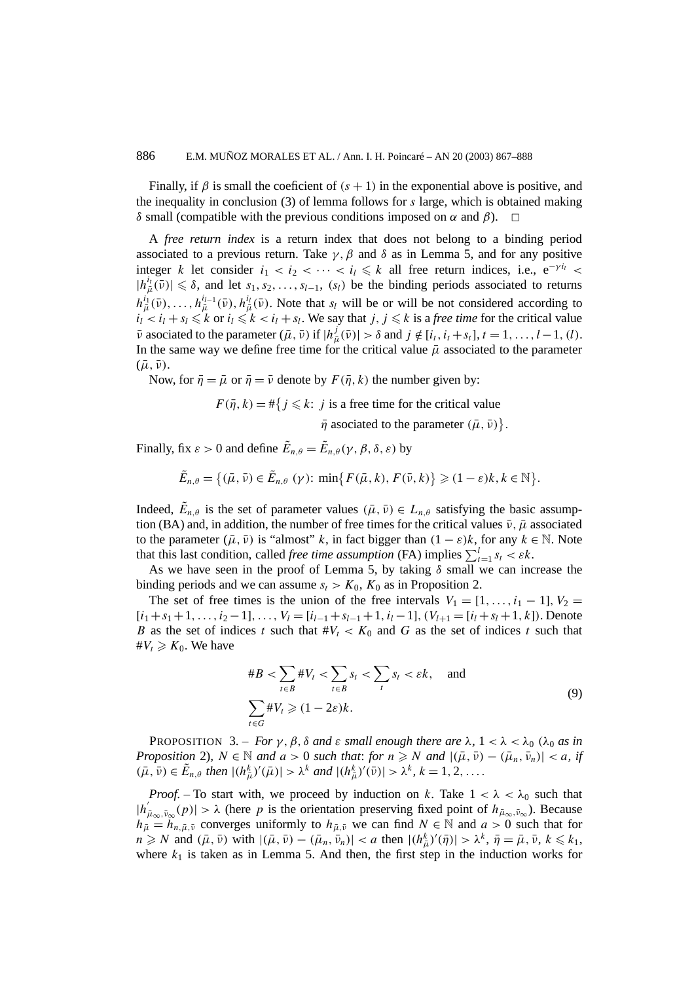Finally, if  $\beta$  is small the coeficient of  $(s + 1)$  in the exponential above is positive, and the inequality in conclusion (3) of lemma follows for *s* large, which is obtained making *δ* small (compatible with the previous conditions imposed on *α* and *β*).

A *free return index* is a return index that does not belong to a binding period associated to a previous return. Take  $\gamma$ ,  $\beta$  and  $\delta$  as in Lemma 5, and for any positive integer *k* let consider  $i_1 < i_2 < \cdots < i_l \leq k$  all free return indices, i.e.,  $e^{-\gamma i_t}$  $|h_{\bar{\mu}}^{i_{\bar{\imath}}}(\bar{\nu})| \leq \delta$ , and let  $s_1, s_2, \ldots, s_{l-1}$ ,  $(s_l)$  be the binding periods associated to returns  $h_{\bar{\mu}}^{i_1}(\bar{\nu}), \ldots, h_{\bar{\mu}}^{i_{l-1}}(\bar{\nu}), h_{\bar{\mu}}^{i_l}(\bar{\nu})$ . Note that *s<sub>l</sub>* will be or will be not considered according to  $i_l < i_l + s_l \leq k$  or  $i_l \leq k < i_l + s_l$ . We say that *j, j*  $\leq k$  is a *free time* for the critical value  $\bar{\nu}$  asociated to the parameter  $(\bar{\mu}, \bar{\nu})$  if  $|h^j_{\bar{\mu}}(\bar{\nu})| > \delta$  and  $j \notin [i_t, i_t + s_t], t = 1, \ldots, l-1, (l)$ . In the same way we define free time for the critical value  $\bar{\mu}$  associated to the parameter  $(\bar{\mu}, \bar{\nu})$ .

Now, for  $\bar{\eta} = \bar{\mu}$  or  $\bar{\eta} = \bar{\nu}$  denote by  $F(\bar{\eta}, k)$  the number given by:

 $F(\bar{\eta}, k) = \#\{j \leq k : j \text{ is a free time for the critical value}\}$ 

 $\bar{\eta}$  asociated to the parameter  $(\bar{\mu}, \bar{\nu})\}$ .

Finally, fix  $\varepsilon > 0$  and define  $\tilde{E}_{n,\theta} = \tilde{E}_{n,\theta}(\gamma, \beta, \delta, \varepsilon)$  by

$$
\tilde{E}_{n,\theta} = \{(\bar{\mu}, \bar{\nu}) \in \tilde{E}_{n,\theta} \,(\gamma) \colon \min\{F(\bar{\mu}, k), F(\bar{\nu}, k)\} \geq (1 - \varepsilon)k, k \in \mathbb{N}\}.
$$

Indeed,  $\tilde{E}_{n,\theta}$  is the set of parameter values  $(\bar{\mu}, \bar{\nu}) \in L_{n,\theta}$  satisfying the basic assumption (BA) and, in addition, the number of free times for the critical values  $\bar{\nu}$ ,  $\bar{\mu}$  associated to the parameter  $(\bar{\mu}, \bar{\nu})$  is "almost" *k*, in fact bigger than  $(1 - \varepsilon)k$ , for any  $k \in \mathbb{N}$ . Note that this last condition, called *free time assumption* (FA) implies  $\sum_{t=1}^{l} s_t < \varepsilon k$ .

As we have seen in the proof of Lemma 5, by taking *δ* small we can increase the binding periods and we can assume  $s_t > K_0$ ,  $K_0$  as in Proposition 2.

The set of free times is the union of the free intervals  $V_1 = [1, \ldots, i_1 - 1], V_2 =$  $[i_1 + s_1 + 1, \ldots, i_2 - 1], \ldots, V_l = [i_{l-1} + s_{l-1} + 1, i_l - 1], (V_{l+1} = [i_l + s_l + 1, k])$ . Denote *B* as the set of indices *t* such that  $\#V_t < K_0$  and *G* as the set of indices *t* such that  $\#V_t \geqslant K_0$ . We have

$$
\#B < \sum_{t \in B} \#V_t < \sum_{t \in B} s_t < \sum_t s_t < \varepsilon k, \quad \text{and}
$$
\n
$$
\sum_{t \in G} \#V_t \ge (1 - 2\varepsilon)k.
$$
\n
$$
\tag{9}
$$

PROPOSITION 3. – *For γ*, *β*, *δ and ε small enough there are*  $λ$ ,  $1 < λ < λ_0$  ( $λ_0$  *as in Proposition* 2),  $N \in \mathbb{N}$  *and*  $a > 0$  *such that: for*  $n \ge N$  *and*  $|(\bar{\mu}, \bar{v}) - (\bar{\mu}_n, \bar{v}_n)| < a$ , *if*  $(\bar{\mu}, \bar{\nu}) \in \tilde{E}_{n,\theta}$  then  $|(h_{\bar{\mu}}^k)'(\bar{\mu})| > \lambda^k$  and  $|(h_{\bar{\mu}}^k)'(\bar{\nu})| > \lambda^k$ ,  $k = 1, 2, ...$ 

*Proof.* – To start with, we proceed by induction on *k*. Take  $1 < \lambda < \lambda_0$  such that  $|h'_{\mu_{\infty},\bar{\nu}_{\infty}}(p)| > \lambda$  (here *p* is the orientation preserving fixed point of  $h_{\bar{\mu}_{\infty},\bar{\nu}_{\infty}}$ ). Because  $h_{\mu} = \tilde{h}_{n,\bar{\mu},\bar{\nu}}$  converges uniformly to  $h_{\mu,\bar{\nu}}$  we can find  $N \in \mathbb{N}$  and  $a > 0$  such that for  $n \geq N$  and  $(\bar{\mu}, \bar{\nu})$  with  $|(\bar{\mu}, \bar{\nu}) - (\bar{\mu}_n, \bar{\nu}_n)| < a$  then  $|(h_{\bar{\mu}}^k)'(\bar{\eta})| > \lambda^k$ ,  $\bar{\eta} = \bar{\mu}, \bar{\nu}, k \leq k_1$ , where  $k_1$  is taken as in Lemma 5. And then, the first step in the induction works for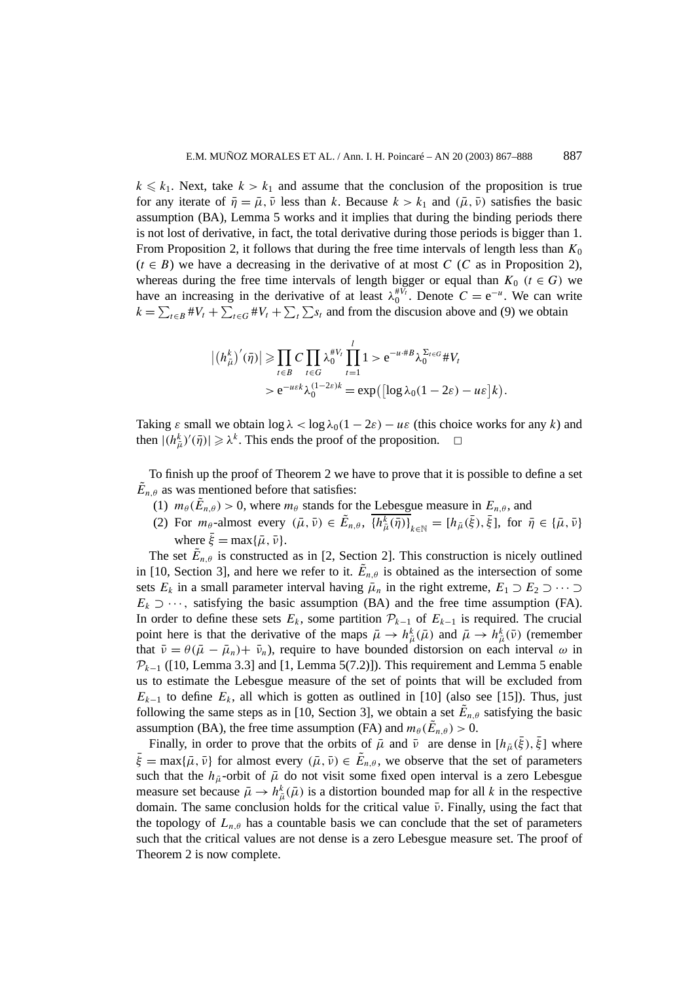$k \leq k_1$ . Next, take  $k > k_1$  and assume that the conclusion of the proposition is true for any iterate of  $\bar{\eta} = \bar{\mu}, \bar{\nu}$  less than *k*. Because  $k > k_1$  and  $(\bar{\mu}, \bar{\nu})$  satisfies the basic assumption (BA), Lemma 5 works and it implies that during the binding periods there is not lost of derivative, in fact, the total derivative during those periods is bigger than 1. From Proposition 2, it follows that during the free time intervals of length less than  $K_0$  $(t \in B)$  we have a decreasing in the derivative of at most *C* (*C* as in Proposition 2), whereas during the free time intervals of length bigger or equal than  $K_0$  ( $t \in G$ ) we have an increasing in the derivative of at least  $\lambda_0^{#V_t}$ . Denote  $C = e^{-u}$ . We can write  $k = \sum_{t \in B} \#V_t + \sum_{t \in G} \#V_t + \sum_t \sum_{s} s_t$  and from the discussion above and (9) we obtain

$$
\left| \left( h_{\bar{\mu}}^{k} \right)'(\bar{\eta}) \right| \geq \prod_{t \in B} C \prod_{t \in G} \lambda_0^{t V_t} \prod_{t=1}^{l} 1 > e^{-u + B} \lambda_0^{\Sigma_{t \in G}} \# V_t
$$
  
>  $e^{-u \varepsilon k} \lambda_0^{(1-2\varepsilon)k} = \exp\left( \left[ \log \lambda_0 (1 - 2\varepsilon) - u \varepsilon \right] k \right).$ 

Taking  $\varepsilon$  small we obtain  $\log \lambda < \log \lambda_0 (1 - 2\varepsilon) - u\varepsilon$  (this choice works for any k) and then  $|(h^k_{\overline{\mu}})'(\overline{\eta})| \ge \lambda^k$ . This ends the proof of the proposition.  $\Box$ 

To finish up the proof of Theorem 2 we have to prove that it is possible to define a set  $\tilde{E}_{n,\theta}$  as was mentioned before that satisfies:

- (1)  $m_\theta(\tilde{E}_{n,\theta}) > 0$ , where  $m_\theta$  stands for the Lebesgue measure in  $E_{n,\theta}$ , and
- (2) For  $m_{\theta}$ -almost every  $(\bar{\mu}, \bar{\nu}) \in \tilde{E}_{n,\theta}$ ,  $\overline{\{h^k_{\bar{\mu}}(\bar{\eta})\}}_{k \in \mathbb{N}} = [h_{\bar{\mu}}(\bar{\xi}), \bar{\xi}],$  for  $\bar{\eta} \in \{\bar{\mu}, \bar{\nu}\}\$ where  $\bar{\xi} = \max{\{\bar{\mu}, \bar{\nu}\}}$ .

The set  $\tilde{E}_{n,\theta}$  is constructed as in [2, Section 2]. This construction is nicely outlined in [10, Section 3], and here we refer to it.  $E_{n,\theta}$  is obtained as the intersection of some sets  $E_k$  in a small parameter interval having  $\bar{\mu}_n$  in the right extreme,  $E_1 \supset E_2 \supset \cdots \supset$  $E_k \supset \cdots$ , satisfying the basic assumption (BA) and the free time assumption (FA). In order to define these sets  $E_k$ , some partition  $\mathcal{P}_{k-1}$  of  $E_{k-1}$  is required. The crucial point here is that the derivative of the maps  $\bar{\mu} \to h_{\bar{\mu}}^k(\bar{\mu})$  and  $\bar{\mu} \to h_{\bar{\mu}}^k(\bar{\nu})$  (remember that  $\bar{\nu} = \theta(\bar{\mu} - \bar{\mu}_n) + \bar{\nu}_n$ , require to have bounded distorsion on each interval  $\omega$  in  $P_{k-1}$  ([10, Lemma 3.3] and [1, Lemma 5(7.2)]). This requirement and Lemma 5 enable us to estimate the Lebesgue measure of the set of points that will be excluded from  $E_{k-1}$  to define  $E_k$ , all which is gotten as outlined in [10] (also see [15]). Thus, just following the same steps as in [10, Section 3], we obtain a set  $E_{n,\theta}$  satisfying the basic assumption (BA), the free time assumption (FA) and  $m_\theta(\tilde{E}_{n,\theta}) > 0$ .

Finally, in order to prove that the orbits of  $\bar{\mu}$  and  $\bar{\nu}$  are dense in  $[h_{\bar{\mu}}(\bar{\xi}), \bar{\xi}]$  where  $\bar{\xi}$  = max{ $\bar{\mu}$ ,  $\bar{\nu}$ } for almost every  $(\bar{\mu}, \bar{\nu}) \in \tilde{E}_{n,\theta}$ , we observe that the set of parameters such that the  $h_{\bar{\mu}}$ -orbit of  $\bar{\mu}$  do not visit some fixed open interval is a zero Lebesgue measure set because  $\bar{\mu} \to h_{\bar{\mu}}^k(\bar{\mu})$  is a distortion bounded map for all *k* in the respective domain. The same conclusion holds for the critical value  $\bar{ν}$ . Finally, using the fact that the topology of  $L_{n,\theta}$  has a countable basis we can conclude that the set of parameters such that the critical values are not dense is a zero Lebesgue measure set. The proof of Theorem 2 is now complete.